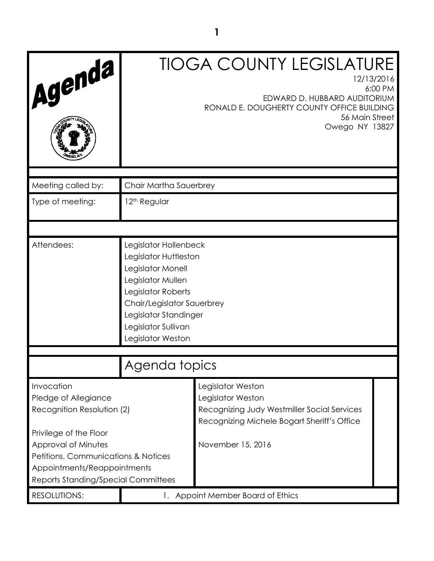| Agenda                                                                                                                                                            |                                                                                                                                                                                                                   | <b>TIOGA COUNTY LEGISLATURE</b><br>12/13/2016<br>EDWARD D. HUBBARD AUDITORIUM<br>RONALD E. DOUGHERTY COUNTY OFFICE BUILDING<br>56 Main Street<br>Owego NY 13827 | 6:00 PM |
|-------------------------------------------------------------------------------------------------------------------------------------------------------------------|-------------------------------------------------------------------------------------------------------------------------------------------------------------------------------------------------------------------|-----------------------------------------------------------------------------------------------------------------------------------------------------------------|---------|
| Meeting called by:                                                                                                                                                | Chair Martha Sauerbrey                                                                                                                                                                                            |                                                                                                                                                                 |         |
| Type of meeting:                                                                                                                                                  | 12 <sup>th</sup> Regular                                                                                                                                                                                          |                                                                                                                                                                 |         |
|                                                                                                                                                                   |                                                                                                                                                                                                                   |                                                                                                                                                                 |         |
| Attendees:                                                                                                                                                        | Legislator Hollenbeck<br>Legislator Huttleston<br>Legislator Monell<br>Legislator Mullen<br>Legislator Roberts<br>Chair/Legislator Sauerbrey<br>Legislator Standinger<br>Legislator Sullivan<br>Legislator Weston |                                                                                                                                                                 |         |
|                                                                                                                                                                   | Agenda topics                                                                                                                                                                                                     |                                                                                                                                                                 |         |
| Invocation<br>Pledge of Allegiance<br>Recognition Resolution (2)                                                                                                  | Legislator Weston<br>Legislator Weston<br>Recognizing Judy Westmiller Social Services<br>Recognizing Michele Bogart Sheriff's Office                                                                              |                                                                                                                                                                 |         |
| Privilege of the Floor<br>Approval of Minutes<br>Petitions, Communications & Notices<br>Appointments/Reappointments<br><b>Reports Standing/Special Committees</b> |                                                                                                                                                                                                                   | November 15, 2016                                                                                                                                               |         |
| RESOLUTIONS:                                                                                                                                                      | 1.                                                                                                                                                                                                                | Appoint Member Board of Ethics                                                                                                                                  |         |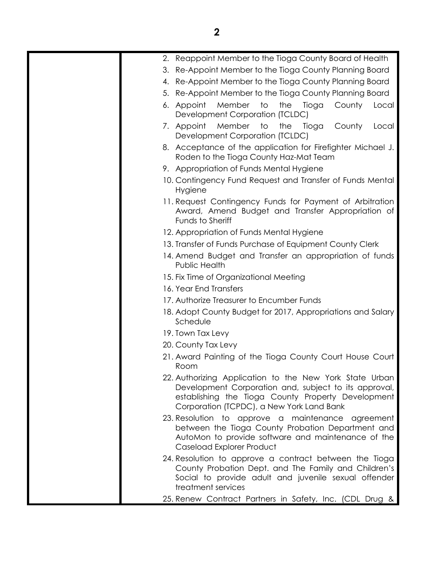| 2. Reappoint Member to the Tioga County Board of Health                                                                                                                                                             |
|---------------------------------------------------------------------------------------------------------------------------------------------------------------------------------------------------------------------|
| 3. Re-Appoint Member to the Tioga County Planning Board                                                                                                                                                             |
| 4. Re-Appoint Member to the Tioga County Planning Board                                                                                                                                                             |
| 5. Re-Appoint Member to the Tioga County Planning Board                                                                                                                                                             |
| Member<br>to<br>the<br>Tioga<br>6. Appoint<br>County<br>Local<br>Development Corporation (TCLDC)                                                                                                                    |
| Member<br>to<br>the<br>7. Appoint<br>Tioga<br>County<br>Local<br>Development Corporation (TCLDC)                                                                                                                    |
| 8. Acceptance of the application for Firefighter Michael J.<br>Roden to the Tioga County Haz-Mat Team                                                                                                               |
| 9. Appropriation of Funds Mental Hygiene                                                                                                                                                                            |
| 10. Contingency Fund Request and Transfer of Funds Mental<br>Hygiene                                                                                                                                                |
| 11. Request Contingency Funds for Payment of Arbitration<br>Award, Amend Budget and Transfer Appropriation of<br>Funds to Sheriff                                                                                   |
| 12. Appropriation of Funds Mental Hygiene                                                                                                                                                                           |
| 13. Transfer of Funds Purchase of Equipment County Clerk                                                                                                                                                            |
| 14. Amend Budget and Transfer an appropriation of funds<br>Public Health                                                                                                                                            |
| 15. Fix Time of Organizational Meeting                                                                                                                                                                              |
| 16. Year End Transfers                                                                                                                                                                                              |
| 17. Authorize Treasurer to Encumber Funds                                                                                                                                                                           |
| 18. Adopt County Budget for 2017, Appropriations and Salary<br>Schedule                                                                                                                                             |
| 19. Town Tax Levy                                                                                                                                                                                                   |
| 20. County Tax Levy                                                                                                                                                                                                 |
| 21. Award Painting of the Tioga County Court House Court<br>Room                                                                                                                                                    |
| 22. Authorizing Application to the New York State Urban<br>Development Corporation and, subject to its approval,<br>establishing the Tioga County Property Development<br>Corporation (TCPDC), a New York Land Bank |
| 23. Resolution to approve a maintenance agreement<br>between the Tioga County Probation Department and<br>AutoMon to provide software and maintenance of the<br>Caseload Explorer Product                           |
| 24. Resolution to approve a contract between the Tioga<br>County Probation Dept. and The Family and Children's<br>Social to provide adult and juvenile sexual offender<br>treatment services                        |
| 25. Renew Contract Partners in Safety, Inc. (CDL Drug &                                                                                                                                                             |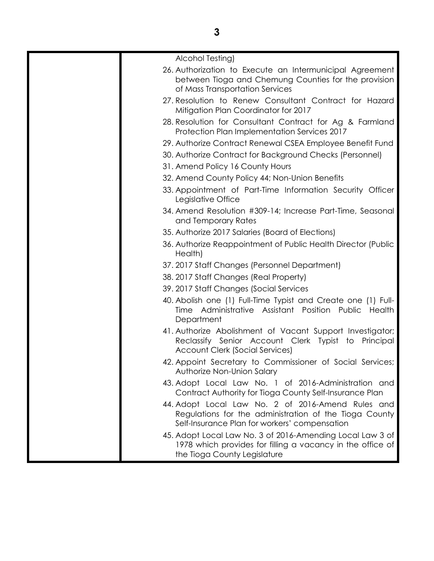| Alcohol Testing)                                                                                                                                             |
|--------------------------------------------------------------------------------------------------------------------------------------------------------------|
| 26. Authorization to Execute an Intermunicipal Agreement                                                                                                     |
| between Tioga and Chemung Counties for the provision<br>of Mass Transportation Services                                                                      |
|                                                                                                                                                              |
| 27. Resolution to Renew Consultant Contract for Hazard<br>Mitigation Plan Coordinator for 2017                                                               |
| 28. Resolution for Consultant Contract for Ag & Farmland<br>Protection Plan Implementation Services 2017                                                     |
| 29. Authorize Contract Renewal CSEA Employee Benefit Fund                                                                                                    |
| 30. Authorize Contract for Background Checks (Personnel)                                                                                                     |
| 31. Amend Policy 16 County Hours                                                                                                                             |
| 32. Amend County Policy 44; Non-Union Benefits                                                                                                               |
| 33. Appointment of Part-Time Information Security Officer<br>Legislative Office                                                                              |
| 34. Amend Resolution #309-14; Increase Part-Time, Seasonal<br>and Temporary Rates                                                                            |
| 35. Authorize 2017 Salaries (Board of Elections)                                                                                                             |
| 36. Authorize Reappointment of Public Health Director (Public<br>Health)                                                                                     |
| 37. 2017 Staff Changes (Personnel Department)                                                                                                                |
| 38. 2017 Staff Changes (Real Property)                                                                                                                       |
| 39. 2017 Staff Changes (Social Services                                                                                                                      |
| 40. Abolish one (1) Full-Time Typist and Create one (1) Full-<br>Administrative Assistant Position Public<br>Health<br>Time<br>Department                    |
| 41. Authorize Abolishment of Vacant Support Investigator;<br>Reclassify Senior Account Clerk Typist to Principal<br>Account Clerk (Social Services)          |
| 42. Appoint Secretary to Commissioner of Social Services;<br>Authorize Non-Union Salary                                                                      |
| 43. Adopt Local Law No. 1 of 2016-Administration and<br>Contract Authority for Tioga County Self-Insurance Plan                                              |
| 44. Adopt Local Law No. 2 of 2016-Amend Rules and<br>Regulations for the administration of the Tioga County<br>Self-Insurance Plan for workers' compensation |
| 45. Adopt Local Law No. 3 of 2016-Amending Local Law 3 of<br>1978 which provides for filling a vacancy in the office of<br>the Tioga County Legislature      |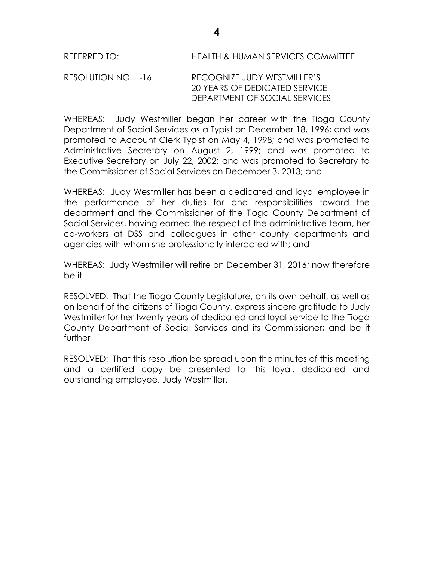#### RESOLUTION NO. -16 RECOGNIZE JUDY WESTMILLER'S 20 YEARS OF DEDICATED SERVICE DEPARTMENT OF SOCIAL SERVICES

WHEREAS: Judy Westmiller began her career with the Tioga County Department of Social Services as a Typist on December 18, 1996; and was promoted to Account Clerk Typist on May 4, 1998; and was promoted to Administrative Secretary on August 2, 1999; and was promoted to Executive Secretary on July 22, 2002; and was promoted to Secretary to the Commissioner of Social Services on December 3, 2013; and

WHEREAS: Judy Westmiller has been a dedicated and loyal employee in the performance of her duties for and responsibilities toward the department and the Commissioner of the Tioga County Department of Social Services, having earned the respect of the administrative team, her co-workers at DSS and colleagues in other county departments and agencies with whom she professionally interacted with; and

WHEREAS: Judy Westmiller will retire on December 31, 2016; now therefore be it

RESOLVED:That the Tioga County Legislature, on its own behalf, as well as on behalf of the citizens of Tioga County, express sincere gratitude to Judy Westmiller for her twenty years of dedicated and loyal service to the Tioga County Department of Social Services and its Commissioner; and be it further

RESOLVED: That this resolution be spread upon the minutes of this meeting and a certified copy be presented to this loyal, dedicated and outstanding employee, Judy Westmiller.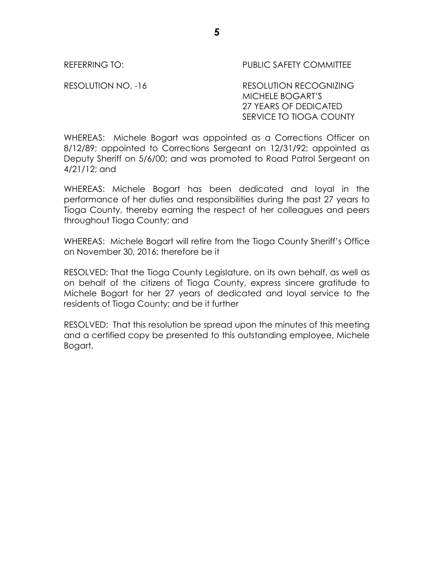REFERRING TO: PUBLIC SAFETY COMMITTEE

RESOLUTION NO. -16 RESOLUTION RECOGNIZING MICHELE BOGART'S 27 YEARS OF DEDICATED SERVICE TO TIOGA COUNTY

WHEREAS: Michele Bogart was appointed as a Corrections Officer on 8/12/89; appointed to Corrections Sergeant on 12/31/92; appointed as Deputy Sheriff on 5/6/00; and was promoted to Road Patrol Sergeant on 4/21/12; and

WHEREAS: Michele Bogart has been dedicated and loyal in the performance of her duties and responsibilities during the past 27 years to Tioga County, thereby earning the respect of her colleagues and peers throughout Tioga County; and

WHEREAS: Michele Bogart will retire from the Tioga County Sheriff's Office on November 30, 2016; therefore be it

RESOLVED: That the Tioga County Legislature, on its own behalf, as well as on behalf of the citizens of Tioga County, express sincere gratitude to Michele Bogart for her 27 years of dedicated and loyal service to the residents of Tioga County; and be it further

RESOLVED: That this resolution be spread upon the minutes of this meeting and a certified copy be presented to this outstanding employee, Michele Bogart.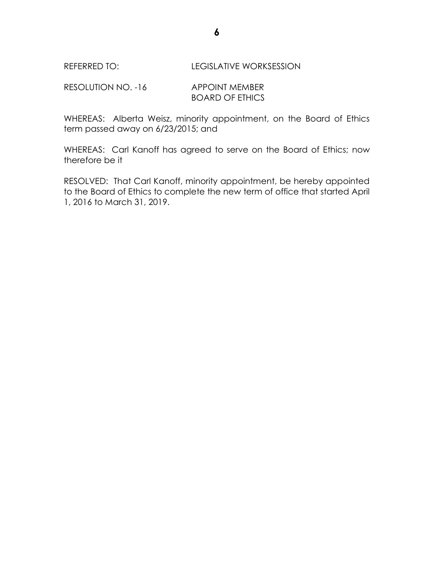#### REFERRED TO: LEGISLATIVE WORKSESSION

RESOLUTION NO. -16 APPOINT MEMBER BOARD OF ETHICS

WHEREAS: Alberta Weisz, minority appointment, on the Board of Ethics term passed away on 6/23/2015; and

WHEREAS: Carl Kanoff has agreed to serve on the Board of Ethics; now therefore be it

RESOLVED: That Carl Kanoff, minority appointment, be hereby appointed to the Board of Ethics to complete the new term of office that started April 1, 2016 to March 31, 2019.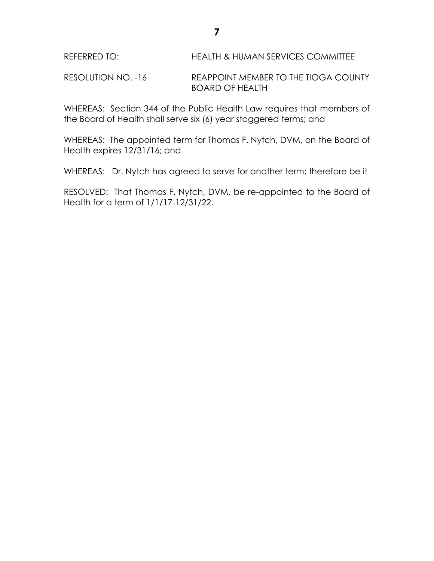RESOLUTION NO. -16 REAPPOINT MEMBER TO THE TIOGA COUNTY BOARD OF HEALTH

WHEREAS: Section 344 of the Public Health Law requires that members of the Board of Health shall serve six (6) year staggered terms; and

WHEREAS: The appointed term for Thomas F. Nytch, DVM, on the Board of Health expires 12/31/16; and

WHEREAS: Dr. Nytch has agreed to serve for another term; therefore be it

RESOLVED: That Thomas F. Nytch, DVM, be re-appointed to the Board of Health for a term of 1/1/17-12/31/22.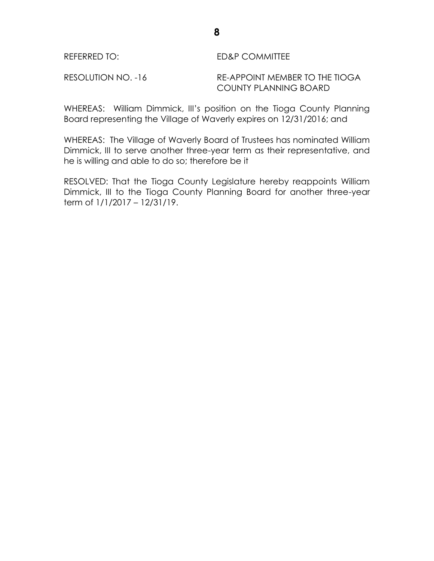### REFERRED TO: ED&P COMMITTEE

RESOLUTION NO. -16 RE-APPOINT MEMBER TO THE TIOGA COUNTY PLANNING BOARD

WHEREAS: William Dimmick, III's position on the Tioga County Planning Board representing the Village of Waverly expires on 12/31/2016; and

WHEREAS: The Village of Waverly Board of Trustees has nominated William Dimmick, III to serve another three-year term as their representative, and he is willing and able to do so; therefore be it

RESOLVED: That the Tioga County Legislature hereby reappoints William Dimmick, III to the Tioga County Planning Board for another three-year term of 1/1/2017 – 12/31/19.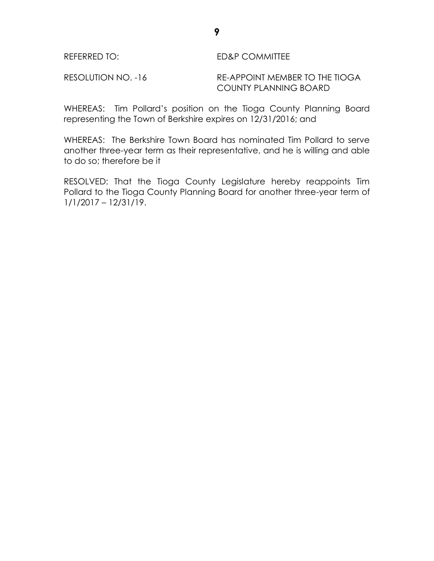### REFERRED TO: ED&P COMMITTEE

RESOLUTION NO. -16 RE-APPOINT MEMBER TO THE TIOGA COUNTY PLANNING BOARD

WHEREAS: Tim Pollard's position on the Tioga County Planning Board representing the Town of Berkshire expires on 12/31/2016; and

WHEREAS: The Berkshire Town Board has nominated Tim Pollard to serve another three-year term as their representative, and he is willing and able to do so; therefore be it

RESOLVED: That the Tioga County Legislature hereby reappoints Tim Pollard to the Tioga County Planning Board for another three-year term of 1/1/2017 – 12/31/19.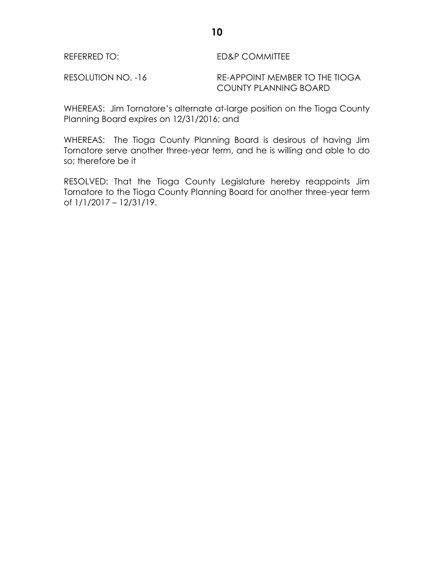RESOLUTION NO. -16 RE-APPOINT MEMBER TO THE TIOGA COUNTY PLANNING BOARD

WHEREAS: Jim Tornatore's alternate at-large position on the Tioga County Planning Board expires on 12/31/2016; and

WHEREAS: The Tioga County Planning Board is desirous of having Jim Tornatore serve another three-year term, and he is willing and able to do so; therefore be it

RESOLVED: That the Tioga County Legislature hereby reappoints Jim Tornatore to the Tioga County Planning Board for another three-year term of 1/1/2017 – 12/31/19.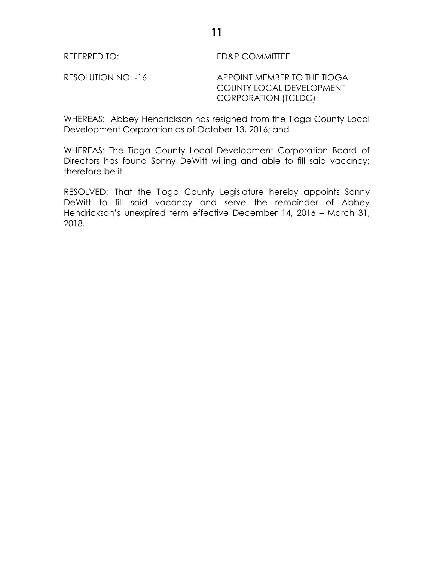REFERRED TO: ED&P COMMITTEE

RESOLUTION NO. -16 APPOINT MEMBER TO THE TIOGA COUNTY LOCAL DEVELOPMENT CORPORATION (TCLDC)

WHEREAS: Abbey Hendrickson has resigned from the Tioga County Local Development Corporation as of October 13, 2016; and

WHEREAS: The Tioga County Local Development Corporation Board of Directors has found Sonny DeWitt willing and able to fill said vacancy; therefore be it

RESOLVED: That the Tioga County Legislature hereby appoints Sonny DeWitt to fill said vacancy and serve the remainder of Abbey Hendrickson's unexpired term effective December 14, 2016 – March 31, 2018.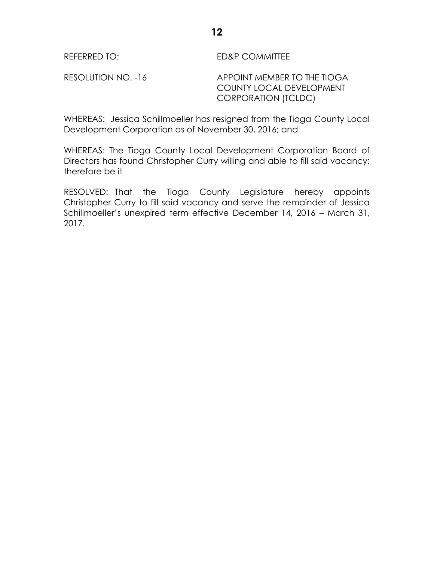REFERRED TO: ED&P COMMITTEE

RESOLUTION NO. -16 APPOINT MEMBER TO THE TIOGA COUNTY LOCAL DEVELOPMENT CORPORATION (TCLDC)

WHEREAS: Jessica Schillmoeller has resigned from the Tioga County Local Development Corporation as of November 30, 2016; and

WHEREAS: The Tioga County Local Development Corporation Board of Directors has found Christopher Curry willing and able to fill said vacancy; therefore be it

RESOLVED: That the Tioga County Legislature hereby appoints Christopher Curry to fill said vacancy and serve the remainder of Jessica Schillmoeller's unexpired term effective December 14, 2016 – March 31, 2017.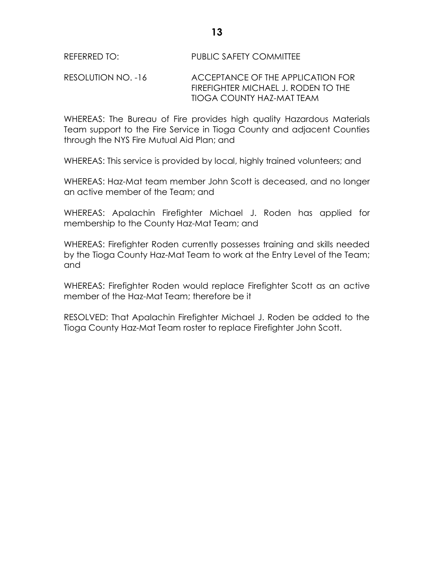### RESOLUTION NO. -16 ACCEPTANCE OF THE APPLICATION FOR FIREFIGHTER MICHAEL J. RODEN TO THE TIOGA COUNTY HAZ-MAT TEAM

WHEREAS: The Bureau of Fire provides high quality Hazardous Materials Team support to the Fire Service in Tioga County and adjacent Counties through the NYS Fire Mutual Aid Plan; and

WHEREAS: This service is provided by local, highly trained volunteers; and

WHEREAS: Haz-Mat team member John Scott is deceased, and no longer an active member of the Team; and

WHEREAS: Apalachin Firefighter Michael J. Roden has applied for membership to the County Haz-Mat Team; and

WHEREAS: Firefighter Roden currently possesses training and skills needed by the Tioga County Haz-Mat Team to work at the Entry Level of the Team; and

WHEREAS: Firefighter Roden would replace Firefighter Scott as an active member of the Haz-Mat Team; therefore be it

RESOLVED: That Apalachin Firefighter Michael J. Roden be added to the Tioga County Haz-Mat Team roster to replace Firefighter John Scott.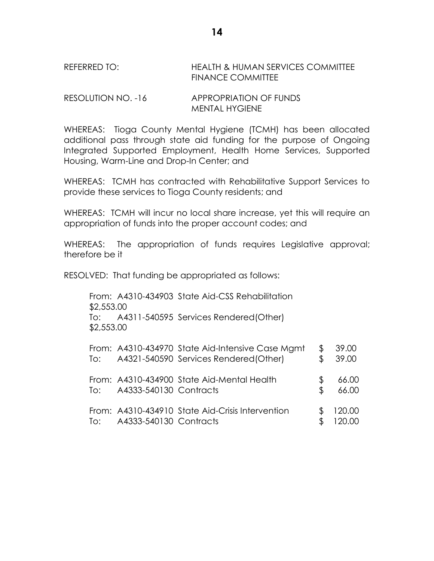REFERRED TO: HEALTH & HUMAN SERVICES COMMITTEE FINANCE COMMITTEE

RESOLUTION NO. -16 APPROPRIATION OF FUNDS MENTAL HYGIENE

WHEREAS: Tioga County Mental Hygiene (TCMH) has been allocated additional pass through state aid funding for the purpose of Ongoing Integrated Supported Employment, Health Home Services, Supported Housing, Warm-Line and Drop-In Center; and

WHEREAS: TCMH has contracted with Rehabilitative Support Services to provide these services to Tioga County residents; and

WHEREAS: TCMH will incur no local share increase, yet this will require an appropriation of funds into the proper account codes; and

WHEREAS: The appropriation of funds requires Legislative approval; therefore be it

RESOLVED: That funding be appropriated as follows:

From: A4310-434903 State Aid-CSS Rehabilitation \$2,553.00 To: A4311-540595 Services Rendered(Other) \$2,553.00 From: A4310-434970 State Aid-Intensive Case Mgmt \$ 39.00 To: A4321-540590 Services Rendered(Other) \$ 39.00 From: A4310-434900 State Aid-Mental Health \$ 66.00 To: A4333-540130 Contracts \$ 66.00 From: A4310-434910 State Aid-Crisis Intervention \$ 120.00 To: A4333-540130 Contracts \$ 120.00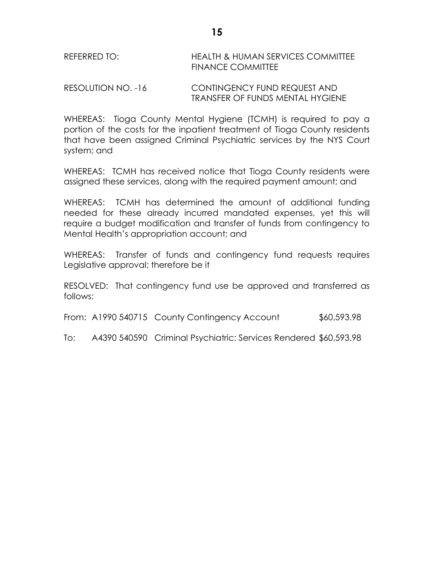| REFERRED TO: | <b>HEALTH &amp; HUMAN SERVICES COMMITTEE</b> |
|--------------|----------------------------------------------|
|              | FINANCE COMMITTEE                            |
|              |                                              |

RESOLUTION NO. -16 CONTINGENCY FUND REQUEST AND TRANSFER OF FUNDS MENTAL HYGIENE

WHEREAS: Tioga County Mental Hygiene (TCMH) is required to pay a portion of the costs for the inpatient treatment of Tioga County residents that have been assigned Criminal Psychiatric services by the NYS Court system; and

WHEREAS: TCMH has received notice that Tioga County residents were assigned these services, along with the required payment amount; and

WHEREAS: TCMH has determined the amount of additional funding needed for these already incurred mandated expenses, yet this will require a budget modification and transfer of funds from contingency to Mental Health's appropriation account; and

WHEREAS: Transfer of funds and contingency fund requests requires Legislative approval; therefore be it

RESOLVED: That contingency fund use be approved and transferred as follows:

From: A1990 540715 County Contingency Account \$60,593.98

To: A4390 540590 Criminal Psychiatric: Services Rendered \$60,593.98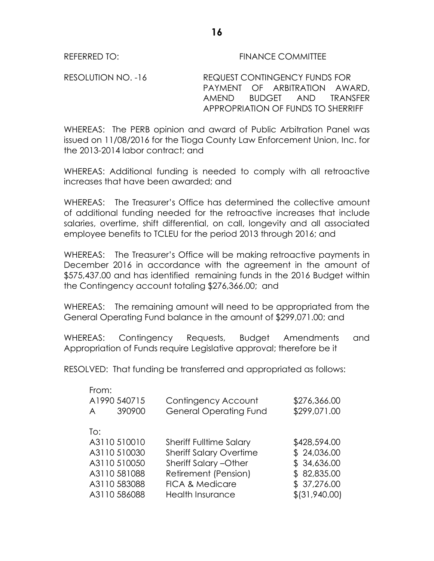RESOLUTION NO. -16 REQUEST CONTINGENCY FUNDS FOR PAYMENT OF ARBITRATION AWARD, AMEND BUDGET AND TRANSFER APPROPRIATION OF FUNDS TO SHERRIFF

**16**

WHEREAS: The PERB opinion and award of Public Arbitration Panel was issued on 11/08/2016 for the Tioga County Law Enforcement Union, Inc. for the 2013-2014 labor contract; and

WHEREAS: Additional funding is needed to comply with all retroactive increases that have been awarded; and

WHEREAS: The Treasurer's Office has determined the collective amount of additional funding needed for the retroactive increases that include salaries, overtime, shift differential, on call, longevity and all associated employee benefits to TCLEU for the period 2013 through 2016; and

WHEREAS: The Treasurer's Office will be making retroactive payments in December 2016 in accordance with the agreement in the amount of \$575,437.00 and has identified remaining funds in the 2016 Budget within the Contingency account totaling \$276,366.00; and

WHEREAS: The remaining amount will need to be appropriated from the General Operating Fund balance in the amount of \$299,071.00; and

WHEREAS: Contingency Requests, Budget Amendments and Appropriation of Funds require Legislative approval; therefore be it

RESOLVED: That funding be transferred and appropriated as follows:

| From:<br>A | A1990 540715<br>390900 | Contingency Account<br><b>General Operating Fund</b> | \$276,366.00<br>\$299,071.00 |
|------------|------------------------|------------------------------------------------------|------------------------------|
| To:        |                        |                                                      |                              |
|            | A3110 510010           | <b>Sheriff Fulltime Salary</b>                       | \$428,594.00                 |
|            | A3110 510030           | <b>Sheriff Salary Overtime</b>                       | \$24,036.00                  |
|            | A3110 510050           | Sheriff Salary - Other                               | \$34,636.00                  |
|            | A3110581088            | Retirement (Pension)                                 | \$82,835.00                  |
|            | A3110 583088           | <b>FICA &amp; Medicare</b>                           | \$37,276.00                  |
|            | A3110586088            | <b>Health Insurance</b>                              | \$ (31,940.00)               |
|            |                        |                                                      |                              |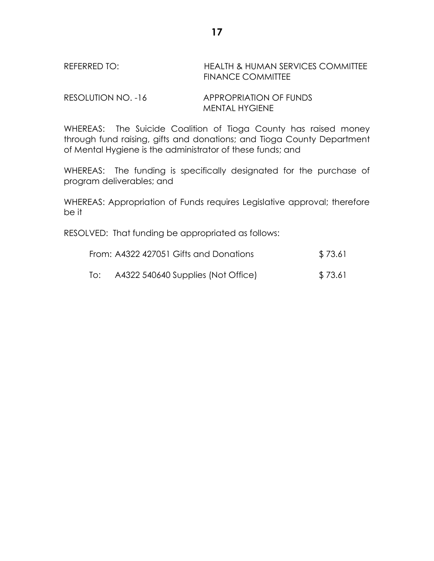## REFERRED TO: HEALTH & HUMAN SERVICES COMMITTEE FINANCE COMMITTEE

RESOLUTION NO. -16 APPROPRIATION OF FUNDS MENTAL HYGIENE

WHEREAS: The Suicide Coalition of Tioga County has raised money through fund raising, gifts and donations; and Tioga County Department of Mental Hygiene is the administrator of these funds; and

WHEREAS: The funding is specifically designated for the purchase of program deliverables; and

WHEREAS: Appropriation of Funds requires Legislative approval; therefore be it

RESOLVED: That funding be appropriated as follows:

|     | From: A4322 427051 Gifts and Donations | \$73.61 |
|-----|----------------------------------------|---------|
| To: | A4322 540640 Supplies (Not Office)     | \$73.61 |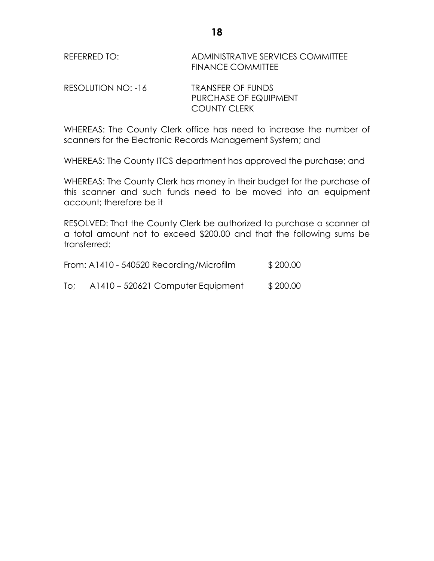| REFERRED TO: | ADMINISTRATIVE SERVICES COMMITTEE |
|--------------|-----------------------------------|
|              | <b>FINANCE COMMITTEE</b>          |

| RESOLUTION NO: -16 | <b>TRANSFER OF FUNDS</b> |  |
|--------------------|--------------------------|--|
|                    | PURCHASE OF EQUIPMENT    |  |
|                    | <b>COUNTY CLERK</b>      |  |

WHEREAS: The County Clerk office has need to increase the number of scanners for the Electronic Records Management System; and

WHEREAS: The County ITCS department has approved the purchase; and

WHEREAS: The County Clerk has money in their budget for the purchase of this scanner and such funds need to be moved into an equipment account; therefore be it

RESOLVED: That the County Clerk be authorized to purchase a scanner at a total amount not to exceed \$200.00 and that the following sums be transferred:

|     | From: A1410 - 540520 Recording/Microfilm | \$200.00 |
|-----|------------------------------------------|----------|
| To; | A1410 – 520621 Computer Equipment        | \$200.00 |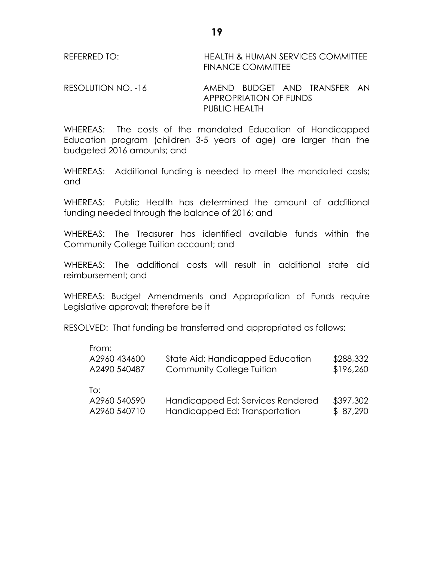REFERRED TO: HEALTH & HUMAN SERVICES COMMITTEE FINANCE COMMITTEE

RESOLUTION NO. -16 AMEND BUDGET AND TRANSFER AN APPROPRIATION OF FUNDS PUBLIC HEALTH

WHEREAS: The costs of the mandated Education of Handicapped Education program (children 3-5 years of age) are larger than the budgeted 2016 amounts; and

WHEREAS: Additional funding is needed to meet the mandated costs; and

WHEREAS: Public Health has determined the amount of additional funding needed through the balance of 2016; and

WHEREAS: The Treasurer has identified available funds within the Community College Tuition account; and

WHEREAS: The additional costs will result in additional state aid reimbursement; and

WHEREAS: Budget Amendments and Appropriation of Funds require Legislative approval; therefore be it

RESOLVED: That funding be transferred and appropriated as follows:

| From:<br>A2960 434600<br>A2490 540487 | State Aid: Handicapped Education<br><b>Community College Tuition</b> | \$288,332<br>\$196,260 |
|---------------------------------------|----------------------------------------------------------------------|------------------------|
| To:<br>A2960 540590<br>A2960 540710   | Handicapped Ed: Services Rendered<br>Handicapped Ed: Transportation  | \$397,302<br>\$87,290  |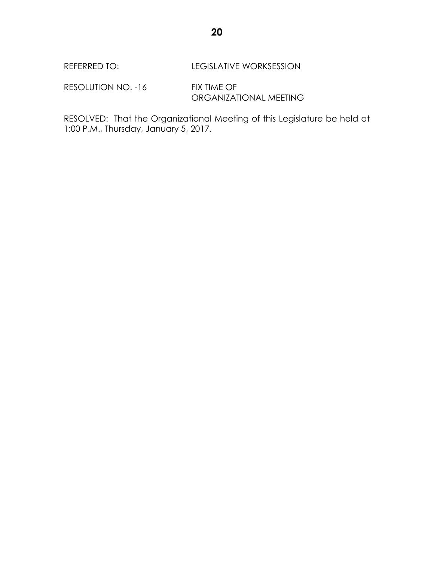RESOLUTION NO. -16 FIX TIME OF ORGANIZATIONAL MEETING

RESOLVED: That the Organizational Meeting of this Legislature be held at 1:00 P.M., Thursday, January 5, 2017.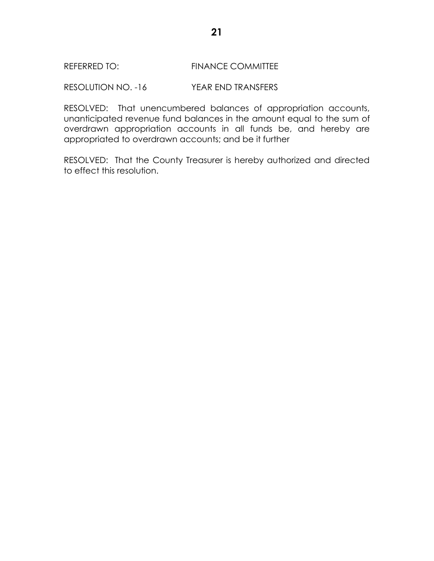RESOLUTION NO. -16 YEAR END TRANSFERS

RESOLVED: That unencumbered balances of appropriation accounts, unanticipated revenue fund balances in the amount equal to the sum of overdrawn appropriation accounts in all funds be, and hereby are appropriated to overdrawn accounts; and be it further

RESOLVED: That the County Treasurer is hereby authorized and directed to effect this resolution.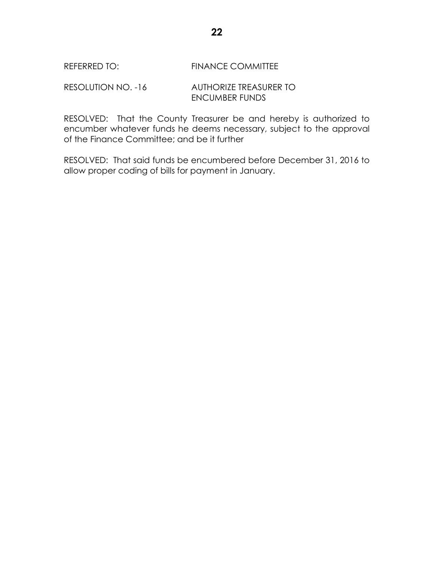RESOLUTION NO. -16 AUTHORIZE TREASURER TO ENCUMBER FUNDS

RESOLVED: That the County Treasurer be and hereby is authorized to encumber whatever funds he deems necessary, subject to the approval of the Finance Committee; and be it further

RESOLVED: That said funds be encumbered before December 31, 2016 to allow proper coding of bills for payment in January.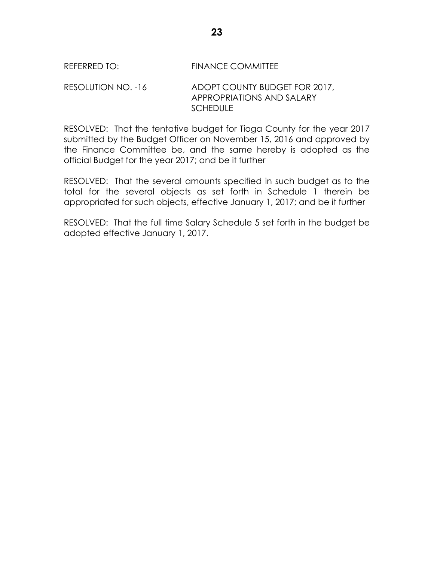#### RESOLUTION NO. -16 ADOPT COUNTY BUDGET FOR 2017, APPROPRIATIONS AND SALARY **SCHEDULE**

RESOLVED: That the tentative budget for Tioga County for the year 2017 submitted by the Budget Officer on November 15, 2016 and approved by the Finance Committee be, and the same hereby is adopted as the official Budget for the year 2017; and be it further

RESOLVED: That the several amounts specified in such budget as to the total for the several objects as set forth in Schedule 1 therein be appropriated for such objects, effective January 1, 2017; and be it further

RESOLVED: That the full time Salary Schedule 5 set forth in the budget be adopted effective January 1, 2017.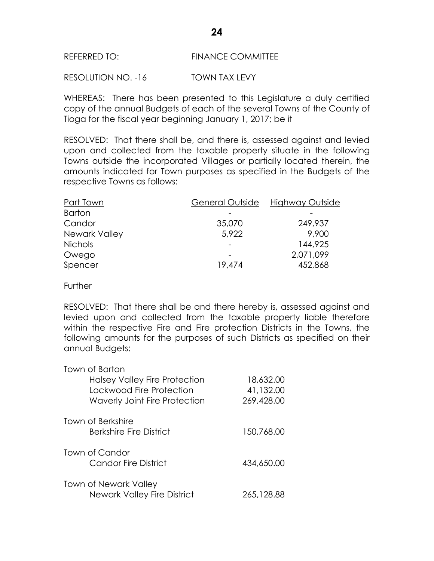RESOLUTION NO. -16 TOWN TAX LEVY

WHEREAS: There has been presented to this Legislature a duly certified copy of the annual Budgets of each of the several Towns of the County of Tioga for the fiscal year beginning January 1, 2017; be it

RESOLVED: That there shall be, and there is, assessed against and levied upon and collected from the taxable property situate in the following Towns outside the incorporated Villages or partially located therein, the amounts indicated for Town purposes as specified in the Budgets of the respective Towns as follows:

| Part Town            | General Outside | Highway Outside |
|----------------------|-----------------|-----------------|
| <b>Barton</b>        |                 |                 |
| Candor               | 35,070          | 249,937         |
| <b>Newark Valley</b> | 5,922           | 9,900           |
| <b>Nichols</b>       |                 | 144,925         |
| Owego                |                 | 2,071,099       |
| Spencer              | 19,474          | 452,868         |

**Further** 

RESOLVED: That there shall be and there hereby is, assessed against and levied upon and collected from the taxable property liable therefore within the respective Fire and Fire protection Districts in the Towns, the following amounts for the purposes of such Districts as specified on their annual Budgets:

| Town of Barton                       |            |
|--------------------------------------|------------|
| <b>Halsey Valley Fire Protection</b> | 18,632.00  |
| Lockwood Fire Protection             | 41,132.00  |
| <b>Waverly Joint Fire Protection</b> | 269,428.00 |
| Town of Berkshire                    |            |
| <b>Berkshire Fire District</b>       | 150,768.00 |
| Town of Candor                       |            |
| <b>Candor Fire District</b>          | 434,650.00 |
| <b>Town of Newark Valley</b>         |            |
| <b>Newark Valley Fire District</b>   | 265,128.88 |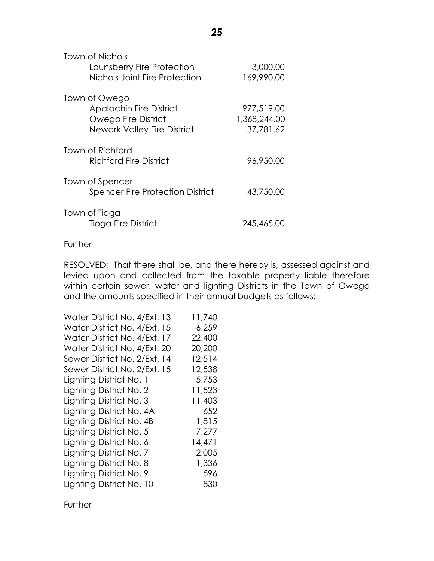| Town of Nichols<br>Lounsberry Fire Protection | 3,000.00     |
|-----------------------------------------------|--------------|
| Nichols Joint Fire Protection                 | 169,990.00   |
| Town of Owego                                 |              |
| <b>Apalachin Fire District</b>                | 977,519.00   |
| <b>Owego Fire District</b>                    | 1,368,244.00 |
| Newark Valley Fire District                   | 37,781.62    |
| Town of Richford                              |              |
| Richford Fire District                        | 96,950.00    |
| Town of Spencer                               |              |
| <b>Spencer Fire Protection District</b>       | 43,750.00    |
| Town of Tioga                                 |              |
| Tioga Fire District                           | 245,465.00   |

#### **Further**

RESOLVED: That there shall be, and there hereby is, assessed against and levied upon and collected from the taxable property liable therefore within certain sewer, water and lighting Districts in the Town of Owego and the amounts specified in their annual budgets as follows:

| Water District No. 4/Ext. 13 | 11,740 |
|------------------------------|--------|
| Water District No. 4/Ext. 15 | 6,259  |
| Water District No. 4/Ext. 17 | 22,400 |
| Water District No. 4/Ext. 20 | 20,200 |
| Sewer District No. 2/Ext. 14 | 12,514 |
| Sewer District No. 2/Ext. 15 | 12,538 |
| Lighting District No. 1      | 5,753  |
| Lighting District No. 2      | 11,523 |
| Lighting District No. 3      | 11,403 |
| Lighting District No. 4A     | 652    |
| Lighting District No. 4B     | 1,815  |
| Lighting District No. 5      | 7,277  |
| Lighting District No. 6      | 14,471 |
| Lighting District No. 7      | 2,005  |
| Lighting District No. 8      | 1,336  |
| Lighting District No. 9      | 596    |
| Lighting District No. 10     | 830    |

**Further**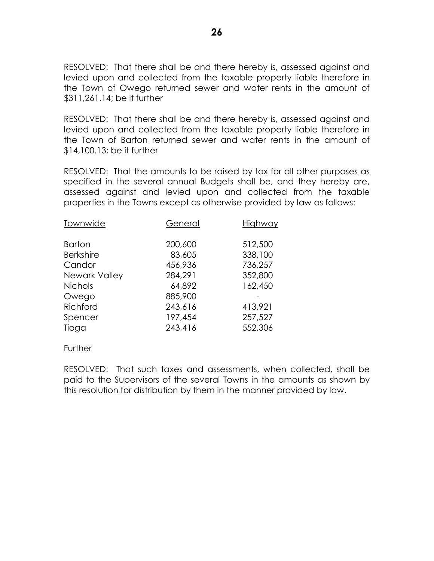RESOLVED: That there shall be and there hereby is, assessed against and levied upon and collected from the taxable property liable therefore in the Town of Owego returned sewer and water rents in the amount of \$311,261.14; be it further

RESOLVED: That there shall be and there hereby is, assessed against and levied upon and collected from the taxable property liable therefore in the Town of Barton returned sewer and water rents in the amount of \$14,100.13; be it further

RESOLVED: That the amounts to be raised by tax for all other purposes as specified in the several annual Budgets shall be, and they hereby are, assessed against and levied upon and collected from the taxable properties in the Towns except as otherwise provided by law as follows:

| Townwide             | General | Highway |
|----------------------|---------|---------|
| <b>Barton</b>        | 200,600 | 512,500 |
| <b>Berkshire</b>     | 83,605  | 338,100 |
| Candor               | 456,936 | 736,257 |
| <b>Newark Valley</b> | 284,291 | 352,800 |
| <b>Nichols</b>       | 64,892  | 162,450 |
| Owego                | 885,900 |         |
| Richford             | 243,616 | 413,921 |
| Spencer              | 197,454 | 257,527 |
| Tioga                | 243,416 | 552,306 |
|                      |         |         |

**Further** 

RESOLVED: That such taxes and assessments, when collected, shall be paid to the Supervisors of the several Towns in the amounts as shown by this resolution for distribution by them in the manner provided by law.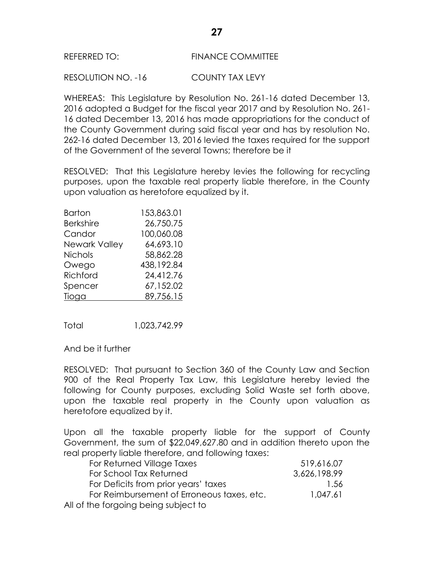RESOLUTION NO. -16 COUNTY TAX LEVY

WHEREAS: This Legislature by Resolution No. 261-16 dated December 13, 2016 adopted a Budget for the fiscal year 2017 and by Resolution No. 261- 16 dated December 13, 2016 has made appropriations for the conduct of the County Government during said fiscal year and has by resolution No. 262-16 dated December 13, 2016 levied the taxes required for the support of the Government of the several Towns; therefore be it

RESOLVED: That this Legislature hereby levies the following for recycling purposes, upon the taxable real property liable therefore, in the County upon valuation as heretofore equalized by it.

| Barton           | 153,863.01 |
|------------------|------------|
| <b>Berkshire</b> | 26,750.75  |
| Candor           | 100,060.08 |
| Newark Valley    | 64,693.10  |
| <b>Nichols</b>   | 58,862.28  |
| Owego            | 438,192.84 |
| Richford         | 24,412.76  |
| Spencer          | 67,152.02  |
| Tioga            | 89,756.15  |

Total 1,023,742.99

And be it further

RESOLVED: That pursuant to Section 360 of the County Law and Section 900 of the Real Property Tax Law, this Legislature hereby levied the following for County purposes, excluding Solid Waste set forth above, upon the taxable real property in the County upon valuation as heretofore equalized by it.

Upon all the taxable property liable for the support of County Government, the sum of \$22,049,627.80 and in addition thereto upon the real property liable therefore, and following taxes:

| For Returned Village Taxes                 | 519,616.07   |
|--------------------------------------------|--------------|
| For School Tax Returned                    | 3,626,198.99 |
| For Deficits from prior years' taxes       | -1.56        |
| For Reimbursement of Erroneous taxes, etc. | 1.047.61     |
| All of the forgoing being subject to       |              |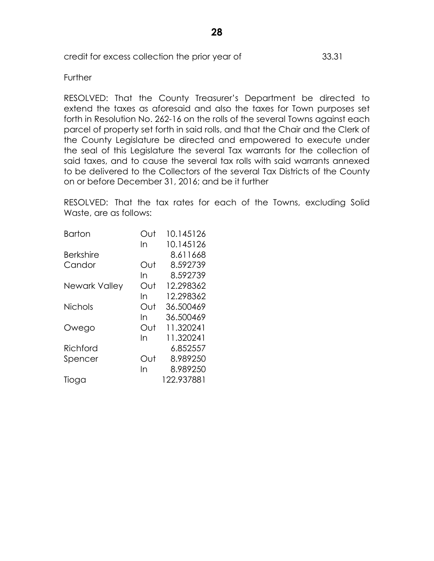#### **Further**

RESOLVED: That the County Treasurer's Department be directed to extend the taxes as aforesaid and also the taxes for Town purposes set forth in Resolution No. 262-16 on the rolls of the several Towns against each parcel of property set forth in said rolls, and that the Chair and the Clerk of the County Legislature be directed and empowered to execute under the seal of this Legislature the several Tax warrants for the collection of said taxes, and to cause the several tax rolls with said warrants annexed to be delivered to the Collectors of the several Tax Districts of the County on or before December 31, 2016; and be it further

RESOLVED: That the tax rates for each of the Towns, excluding Solid Waste, are as follows:

| ∩ut | 10.145126  |
|-----|------------|
| In  | 10.145126  |
|     | 8.611668   |
| Out | 8.592739   |
| In  | 8.592739   |
| Out | 12.298362  |
| In  | 12.298362  |
| Out | 36.500469  |
| In  | 36.500469  |
| Out | 11.320241  |
| In  | 11.320241  |
|     | 6.852557   |
| Out | 8.989250   |
| In  | 8.989250   |
|     | 122.937881 |
|     |            |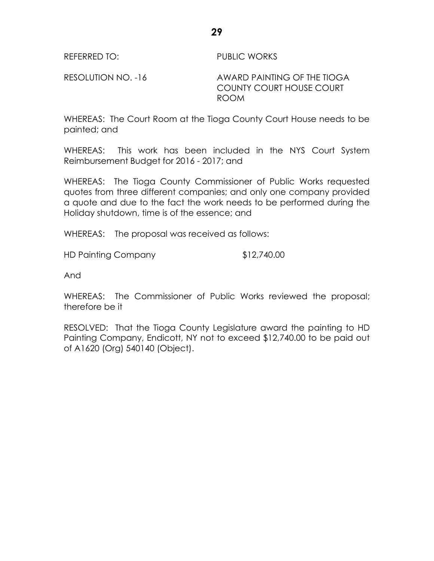REFERRED TO: PUBLIC WORKS

RESOLUTION NO. -16 AWARD PAINTING OF THE TIOGA COUNTY COURT HOUSE COURT ROOM

WHEREAS: The Court Room at the Tioga County Court House needs to be painted; and

WHEREAS: This work has been included in the NYS Court System Reimbursement Budget for 2016 - 2017; and

WHEREAS: The Tioga County Commissioner of Public Works requested quotes from three different companies; and only one company provided a quote and due to the fact the work needs to be performed during the Holiday shutdown, time is of the essence; and

WHEREAS: The proposal was received as follows:

HD Painting Company  $$12,740.00$ 

And

WHEREAS: The Commissioner of Public Works reviewed the proposal; therefore be it

RESOLVED: That the Tioga County Legislature award the painting to HD Painting Company, Endicott, NY not to exceed \$12,740.00 to be paid out of A1620 (Org) 540140 (Object).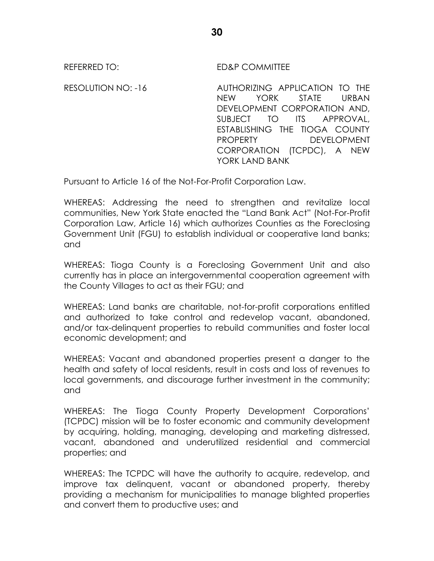REFERRED TO: ED&P COMMITTEE

RESOLUTION NO: -16 AUTHORIZING APPLICATION TO THE NEW YORK STATE URBAN DEVELOPMENT CORPORATION AND, SUBJECT TO ITS APPROVAL, ESTABLISHING THE TIOGA COUNTY PROPERTY DEVELOPMENT CORPORATION (TCPDC), A NEW YORK LAND BANK

Pursuant to Article 16 of the Not-For-Profit Corporation Law.

WHEREAS: Addressing the need to strengthen and revitalize local communities, New York State enacted the "Land Bank Act" (Not-For-Profit Corporation Law, Article 16) which authorizes Counties as the Foreclosing Government Unit (FGU) to establish individual or cooperative land banks; and

WHEREAS: Tioga County is a Foreclosing Government Unit and also currently has in place an intergovernmental cooperation agreement with the County Villages to act as their FGU; and

WHEREAS: Land banks are charitable, not-for-profit corporations entitled and authorized to take control and redevelop vacant, abandoned, and/or tax-delinquent properties to rebuild communities and foster local economic development; and

WHEREAS: Vacant and abandoned properties present a danger to the health and safety of local residents, result in costs and loss of revenues to local governments, and discourage further investment in the community; and

WHEREAS: The Tioga County Property Development Corporations' (TCPDC) mission will be to foster economic and community development by acquiring, holding, managing, developing and marketing distressed, vacant, abandoned and underutilized residential and commercial properties; and

WHEREAS: The TCPDC will have the authority to acquire, redevelop, and improve tax delinquent, vacant or abandoned property, thereby providing a mechanism for municipalities to manage blighted properties and convert them to productive uses; and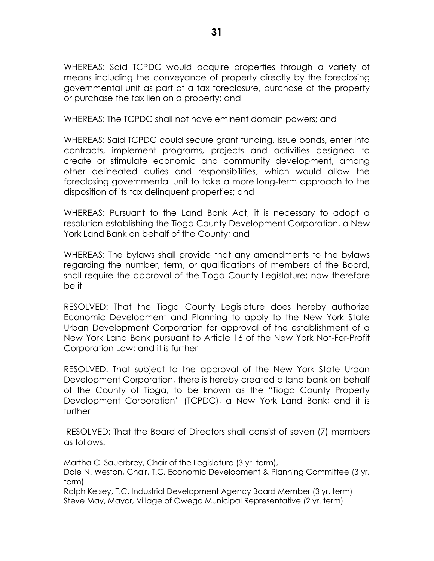WHEREAS: Said TCPDC would acquire properties through a variety of means including the conveyance of property directly by the foreclosing governmental unit as part of a tax foreclosure, purchase of the property or purchase the tax lien on a property; and

WHEREAS: The TCPDC shall not have eminent domain powers; and

WHEREAS: Said TCPDC could secure grant funding, issue bonds, enter into contracts, implement programs, projects and activities designed to create or stimulate economic and community development, among other delineated duties and responsibilities, which would allow the foreclosing governmental unit to take a more long-term approach to the disposition of its tax delinquent properties; and

WHEREAS: Pursuant to the Land Bank Act, it is necessary to adopt a resolution establishing the Tioga County Development Corporation, a New York Land Bank on behalf of the County; and

WHEREAS: The bylaws shall provide that any amendments to the bylaws regarding the number, term, or qualifications of members of the Board, shall require the approval of the Tioga County Legislature; now therefore be it

RESOLVED: That the Tioga County Legislature does hereby authorize Economic Development and Planning to apply to the New York State Urban Development Corporation for approval of the establishment of a New York Land Bank pursuant to Article 16 of the New York Not-For-Profit Corporation Law; and it is further

RESOLVED: That subject to the approval of the New York State Urban Development Corporation, there is hereby created a land bank on behalf of the County of Tioga, to be known as the "Tioga County Property Development Corporation" (TCPDC), a New York Land Bank; and it is further

RESOLVED: That the Board of Directors shall consist of seven (7) members as follows:

Martha C. Sauerbrey, Chair of the Legislature (3 yr. term),

Dale N. Weston, Chair, T.C. Economic Development & Planning Committee (3 yr. term)

Ralph Kelsey, T.C. Industrial Development Agency Board Member (3 yr. term) Steve May, Mayor, Village of Owego Municipal Representative (2 yr. term)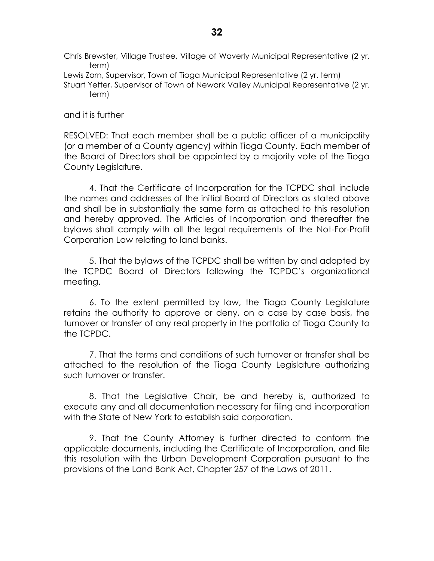Chris Brewster, Village Trustee, Village of Waverly Municipal Representative (2 yr. term)

Lewis Zorn, Supervisor, Town of Tioga Municipal Representative (2 yr. term)

Stuart Yetter, Supervisor of Town of Newark Valley Municipal Representative (2 yr. term)

and it is further

RESOLVED: That each member shall be a public officer of a municipality (or a member of a County agency) within Tioga County. Each member of the Board of Directors shall be appointed by a majority vote of the Tioga County Legislature.

4. That the Certificate of Incorporation for the TCPDC shall include the names and addresses of the initial Board of Directors as stated above and shall be in substantially the same form as attached to this resolution and hereby approved. The Articles of Incorporation and thereafter the bylaws shall comply with all the legal requirements of the Not-For-Profit Corporation Law relating to land banks.

5. That the bylaws of the TCPDC shall be written by and adopted by the TCPDC Board of Directors following the TCPDC's organizational meeting.

6. To the extent permitted by law, the Tioga County Legislature retains the authority to approve or deny, on a case by case basis, the turnover or transfer of any real property in the portfolio of Tioga County to the TCPDC.

7. That the terms and conditions of such turnover or transfer shall be attached to the resolution of the Tioga County Legislature authorizing such turnover or transfer.

8. That the Legislative Chair, be and hereby is, authorized to execute any and all documentation necessary for filing and incorporation with the State of New York to establish said corporation.

9. That the County Attorney is further directed to conform the applicable documents, including the Certificate of Incorporation, and file this resolution with the Urban Development Corporation pursuant to the provisions of the Land Bank Act, Chapter 257 of the Laws of 2011.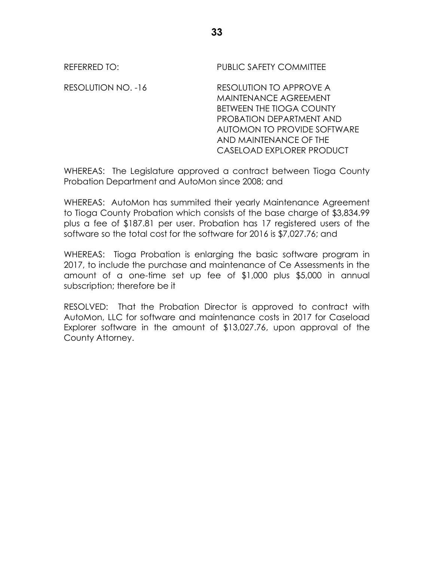REFERRED TO: The PUBLIC SAFETY COMMITTEE

RESOLUTION NO. -16 RESOLUTION TO APPROVE A MAINTENANCE AGREEMENT BETWEEN THE TIOGA COUNTY PROBATION DEPARTMENT AND AUTOMON TO PROVIDE SOFTWARE AND MAINTENANCE OF THE CASELOAD EXPLORER PRODUCT

WHEREAS: The Legislature approved a contract between Tioga County Probation Department and AutoMon since 2008; and

WHEREAS: AutoMon has summited their yearly Maintenance Agreement to Tioga County Probation which consists of the base charge of \$3,834.99 plus a fee of \$187.81 per user. Probation has 17 registered users of the software so the total cost for the software for 2016 is \$7,027.76; and

WHEREAS: Tioga Probation is enlarging the basic software program in 2017, to include the purchase and maintenance of Ce Assessments in the amount of a one-time set up fee of \$1,000 plus \$5,000 in annual subscription; therefore be it

RESOLVED: That the Probation Director is approved to contract with AutoMon, LLC for software and maintenance costs in 2017 for Caseload Explorer software in the amount of \$13,027.76, upon approval of the County Attorney.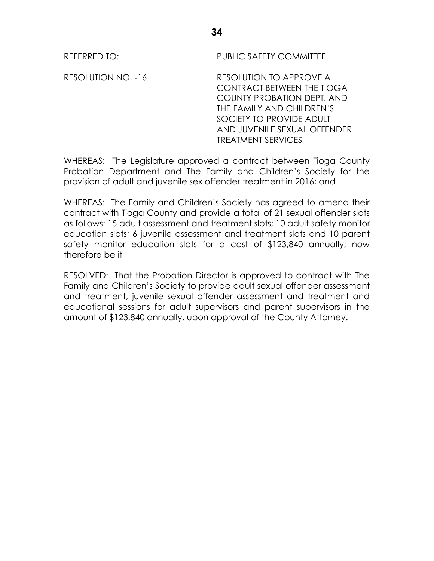REFERRED TO: PUBLIC SAFETY COMMITTEE

RESOLUTION NO. -16 RESOLUTION TO APPROVE A CONTRACT BETWEEN THE TIOGA COUNTY PROBATION DEPT. AND THE FAMILY AND CHILDREN'S SOCIETY TO PROVIDE ADULT AND JUVENILE SEXUAL OFFENDER TREATMENT SERVICES

WHEREAS: The Legislature approved a contract between Tioga County Probation Department and The Family and Children's Society for the provision of adult and juvenile sex offender treatment in 2016; and

WHEREAS: The Family and Children's Society has agreed to amend their contract with Tioga County and provide a total of 21 sexual offender slots as follows: 15 adult assessment and treatment slots; 10 adult safety monitor education slots; 6 juvenile assessment and treatment slots and 10 parent safety monitor education slots for a cost of \$123,840 annually; now therefore be it

RESOLVED: That the Probation Director is approved to contract with The Family and Children's Society to provide adult sexual offender assessment and treatment, juvenile sexual offender assessment and treatment and educational sessions for adult supervisors and parent supervisors in the amount of \$123,840 annually, upon approval of the County Attorney.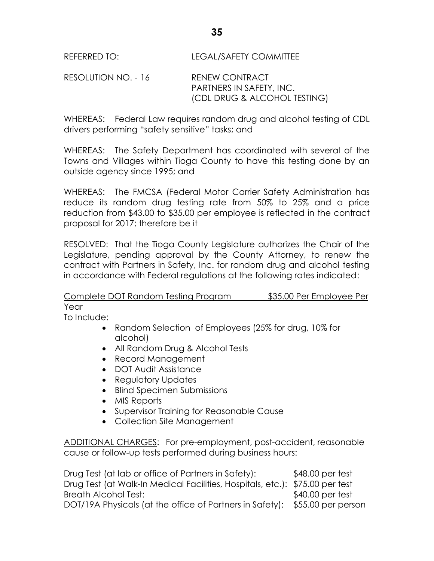RESOLUTION NO. - 16 RENEW CONTRACT PARTNERS IN SAFETY, INC. (CDL DRUG & ALCOHOL TESTING)

WHEREAS: Federal Law requires random drug and alcohol testing of CDL drivers performing "safety sensitive" tasks; and

WHEREAS: The Safety Department has coordinated with several of the Towns and Villages within Tioga County to have this testing done by an outside agency since 1995; and

WHEREAS: The FMCSA (Federal Motor Carrier Safety Administration has reduce its random drug testing rate from 50% to 25% and a price reduction from \$43.00 to \$35.00 per employee is reflected in the contract proposal for 2017; therefore be it

RESOLVED: That the Tioga County Legislature authorizes the Chair of the Legislature, pending approval by the County Attorney, to renew the contract with Partners in Safety, Inc. for random drug and alcohol testing in accordance with Federal regulations at the following rates indicated:

## Complete DOT Random Testing Program \$35.00 Per Employee Per Year

To Include:

- Random Selection of Employees (25% for drug, 10% for alcohol)
- All Random Drug & Alcohol Tests
- Record Management
- DOT Audit Assistance
- Regulatory Updates
- Blind Specimen Submissions
- MIS Reports
- Supervisor Training for Reasonable Cause
- Collection Site Management

ADDITIONAL CHARGES: For pre-employment, post-accident, reasonable cause or follow-up tests performed during business hours:

| Drug Test (at lab or office of Partners in Safety):                          | \$48.00 per test  |
|------------------------------------------------------------------------------|-------------------|
| Drug Test (at Walk-In Medical Facilities, Hospitals, etc.): \$75.00 per test |                   |
| Breath Alcohol Test:                                                         | $$40.00$ per test |
| DOT/19A Physicals (at the office of Partners in Safety): \$55.00 per person  |                   |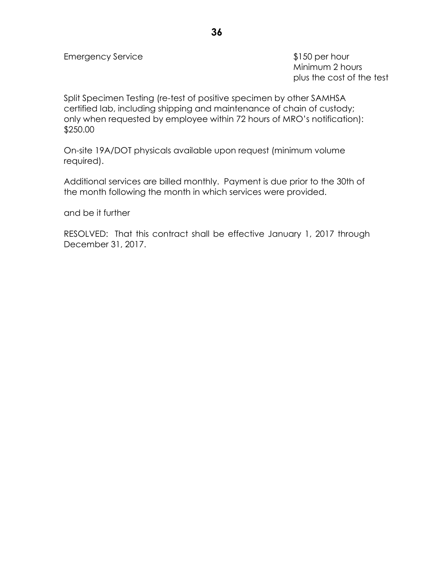Minimum 2 hours plus the cost of the test

Split Specimen Testing (re-test of positive specimen by other SAMHSA certified lab, including shipping and maintenance of chain of custody; only when requested by employee within 72 hours of MRO's notification): \$250.00

On-site 19A/DOT physicals available upon request (minimum volume required).

Additional services are billed monthly. Payment is due prior to the 30th of the month following the month in which services were provided.

and be it further

RESOLVED: That this contract shall be effective January 1, 2017 through December 31, 2017.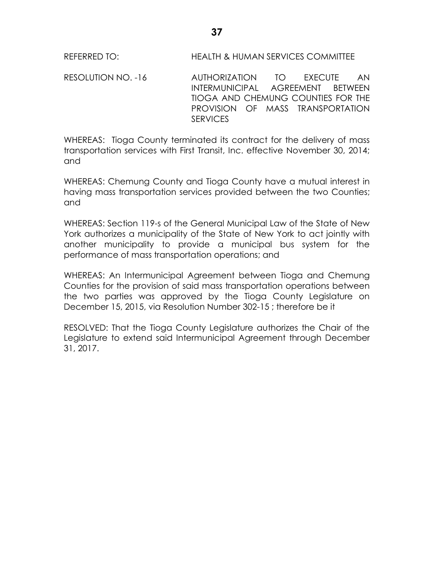REFERRED TO: HEALTH & HUMAN SERVICES COMMITTEE

RESOLUTION NO. -16 AUTHORIZATION TO EXECUTE AN INTERMUNICIPAL AGREEMENT BETWEEN TIOGA AND CHEMUNG COUNTIES FOR THE PROVISION OF MASS TRANSPORTATION **SERVICES** 

WHEREAS: Tioga County terminated its contract for the delivery of mass transportation services with First Transit, Inc. effective November 30, 2014; and

WHEREAS: Chemung County and Tioga County have a mutual interest in having mass transportation services provided between the two Counties; and

WHEREAS: Section 119-s of the General Municipal Law of the State of New York authorizes a municipality of the State of New York to act jointly with another municipality to provide a municipal bus system for the performance of mass transportation operations; and

WHEREAS: An Intermunicipal Agreement between Tioga and Chemung Counties for the provision of said mass transportation operations between the two parties was approved by the Tioga County Legislature on December 15, 2015, via Resolution Number 302-15 ; therefore be it

RESOLVED: That the Tioga County Legislature authorizes the Chair of the Legislature to extend said Intermunicipal Agreement through December 31, 2017.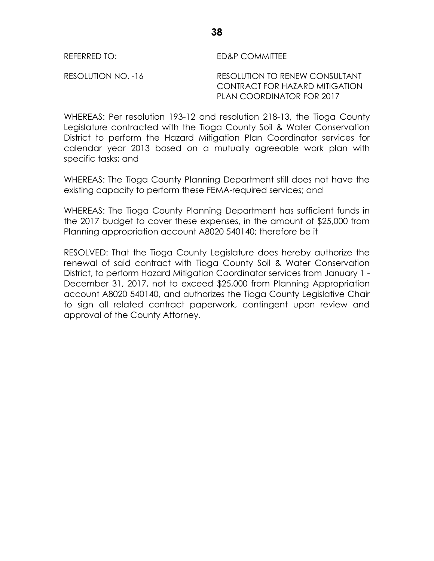REFERRED TO: ED&P COMMITTEE

RESOLUTION NO. -16 RESOLUTION TO RENEW CONSULTANT CONTRACT FOR HAZARD MITIGATION PLAN COORDINATOR FOR 2017

WHEREAS: Per resolution 193-12 and resolution 218-13, the Tioga County Legislature contracted with the Tioga County Soil & Water Conservation District to perform the Hazard Mitigation Plan Coordinator services for calendar year 2013 based on a mutually agreeable work plan with specific tasks; and

WHEREAS: The Tioga County Planning Department still does not have the existing capacity to perform these FEMA-required services; and

WHEREAS: The Tioga County Planning Department has sufficient funds in the 2017 budget to cover these expenses, in the amount of \$25,000 from Planning appropriation account A8020 540140; therefore be it

RESOLVED: That the Tioga County Legislature does hereby authorize the renewal of said contract with Tioga County Soil & Water Conservation District, to perform Hazard Mitigation Coordinator services from January 1 - December 31, 2017, not to exceed \$25,000 from Planning Appropriation account A8020 540140, and authorizes the Tioga County Legislative Chair to sign all related contract paperwork, contingent upon review and approval of the County Attorney.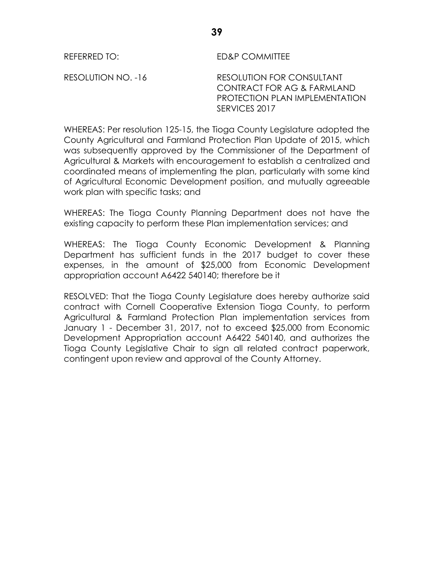REFERRED TO: ED&P COMMITTEE

RESOLUTION NO. -16 RESOLUTION FOR CONSULTANT CONTRACT FOR AG & FARMLAND PROTECTION PLAN IMPLEMENTATION SERVICES 2017

WHEREAS: Per resolution 125-15, the Tioga County Legislature adopted the County Agricultural and Farmland Protection Plan Update of 2015, which was subsequently approved by the Commissioner of the Department of Agricultural & Markets with encouragement to establish a centralized and coordinated means of implementing the plan, particularly with some kind of Agricultural Economic Development position, and mutually agreeable work plan with specific tasks; and

WHEREAS: The Tioga County Planning Department does not have the existing capacity to perform these Plan implementation services; and

WHEREAS: The Tioga County Economic Development & Planning Department has sufficient funds in the 2017 budget to cover these expenses, in the amount of \$25,000 from Economic Development appropriation account A6422 540140; therefore be it

RESOLVED: That the Tioga County Legislature does hereby authorize said contract with Cornell Cooperative Extension Tioga County, to perform Agricultural & Farmland Protection Plan implementation services from January 1 - December 31, 2017, not to exceed \$25,000 from Economic Development Appropriation account A6422 540140, and authorizes the Tioga County Legislative Chair to sign all related contract paperwork, contingent upon review and approval of the County Attorney.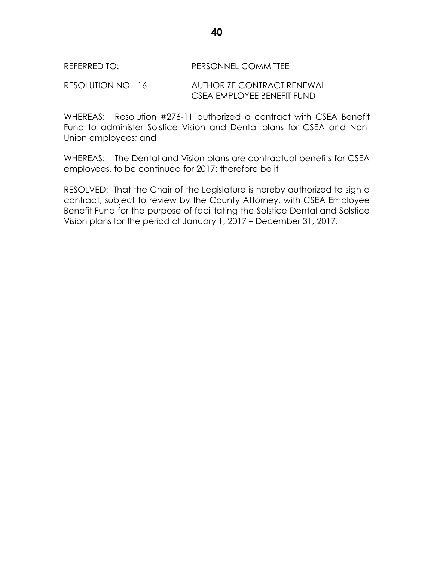### REFERRED TO: PERSONNEL COMMITTEE

RESOLUTION NO. -16 AUTHORIZE CONTRACT RENEWAL CSEA EMPLOYEE BENEFIT FUND

WHEREAS: Resolution #276-11 authorized a contract with CSEA Benefit Fund to administer Solstice Vision and Dental plans for CSEA and Non-Union employees; and

WHEREAS: The Dental and Vision plans are contractual benefits for CSEA employees, to be continued for 2017; therefore be it

RESOLVED: That the Chair of the Legislature is hereby authorized to sign a contract, subject to review by the County Attorney, with CSEA Employee Benefit Fund for the purpose of facilitating the Solstice Dental and Solstice Vision plans for the period of January 1, 2017 – December 31, 2017.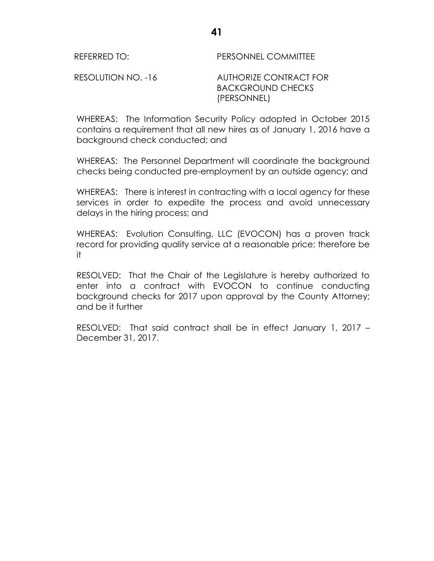REFERRED TO: PERSONNEL COMMITTEE

RESOLUTION NO. -16 AUTHORIZE CONTRACT FOR BACKGROUND CHECKS (PERSONNEL)

WHEREAS: The Information Security Policy adopted in October 2015 contains a requirement that all new hires as of January 1, 2016 have a background check conducted; and

WHEREAS: The Personnel Department will coordinate the background checks being conducted pre-employment by an outside agency; and

WHEREAS: There is interest in contracting with a local agency for these services in order to expedite the process and avoid unnecessary delays in the hiring process; and

WHEREAS: Evolution Consulting, LLC (EVOCON) has a proven track record for providing quality service at a reasonable price; therefore be it

RESOLVED: That the Chair of the Legislature is hereby authorized to enter into a contract with EVOCON to continue conducting background checks for 2017 upon approval by the County Attorney; and be it further

RESOLVED: That said contract shall be in effect January 1, 2017 – December 31, 2017.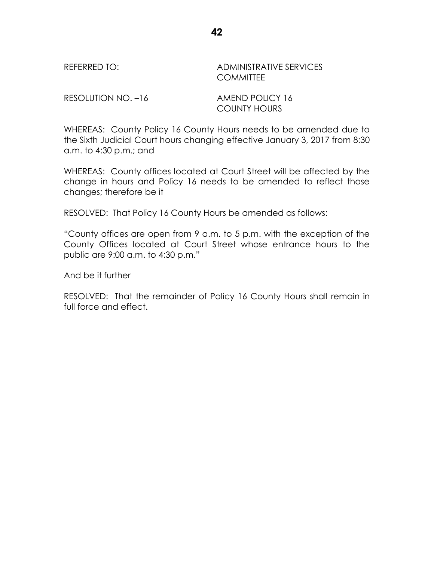REFERRED TO: ADMINISTRATIVE SERVICES **COMMITTEE** 

RESOLUTION NO. -16 AMEND POLICY 16

COUNTY HOURS

WHEREAS: County Policy 16 County Hours needs to be amended due to the Sixth Judicial Court hours changing effective January 3, 2017 from 8:30 a.m. to 4:30 p.m.; and

WHEREAS: County offices located at Court Street will be affected by the change in hours and Policy 16 needs to be amended to reflect those changes; therefore be it

RESOLVED: That Policy 16 County Hours be amended as follows:

"County offices are open from 9 a.m. to 5 p.m. with the exception of the County Offices located at Court Street whose entrance hours to the public are 9:00 a.m. to 4:30 p.m."

And be it further

RESOLVED: That the remainder of Policy 16 County Hours shall remain in full force and effect.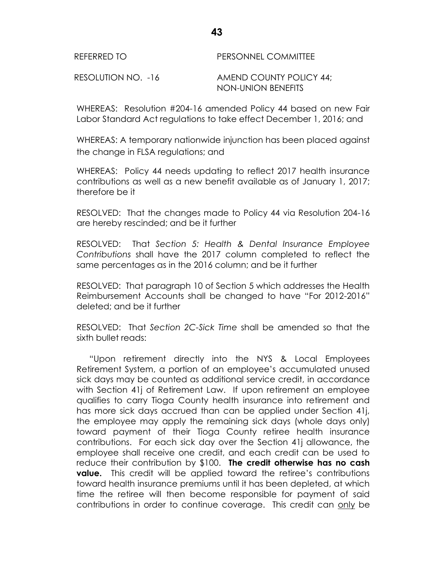| REFERRED TO        | PERSONNEL COMMITTEE                           |
|--------------------|-----------------------------------------------|
| RESOLUTION NO. -16 | AMEND COUNTY POLICY 44;<br>NON-UNION BENEFITS |

WHEREAS: Resolution #204-16 amended Policy 44 based on new Fair Labor Standard Act regulations to take effect December 1, 2016; and

WHEREAS: A temporary nationwide injunction has been placed against the change in FLSA regulations; and

WHEREAS: Policy 44 needs updating to reflect 2017 health insurance contributions as well as a new benefit available as of January 1, 2017; therefore be it

RESOLVED: That the changes made to Policy 44 via Resolution 204-16 are hereby rescinded; and be it further

RESOLVED: That *Section 5: Health & Dental Insurance Employee Contributions* shall have the 2017 column completed to reflect the same percentages as in the 2016 column; and be it further

RESOLVED: That paragraph 10 of Section 5 which addresses the Health Reimbursement Accounts shall be changed to have "For 2012-2016" deleted; and be it further

RESOLVED: That *Section 2C-Sick Time* shall be amended so that the sixth bullet reads:

"Upon retirement directly into the NYS & Local Employees Retirement System, a portion of an employee's accumulated unused sick days may be counted as additional service credit, in accordance with Section 41j of Retirement Law. If upon retirement an employee qualifies to carry Tioga County health insurance into retirement and has more sick days accrued than can be applied under Section 41j, the employee may apply the remaining sick days (whole days only) toward payment of their Tioga County retiree health insurance contributions. For each sick day over the Section 41j allowance, the employee shall receive one credit, and each credit can be used to reduce their contribution by \$100. **The credit otherwise has no cash value.** This credit will be applied toward the retiree's contributions toward health insurance premiums until it has been depleted, at which time the retiree will then become responsible for payment of said contributions in order to continue coverage. This credit can only be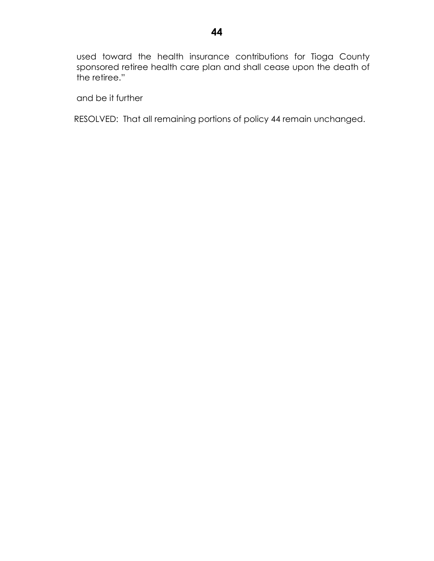used toward the health insurance contributions for Tioga County sponsored retiree health care plan and shall cease upon the death of the retiree."

and be it further

RESOLVED: That all remaining portions of policy 44 remain unchanged.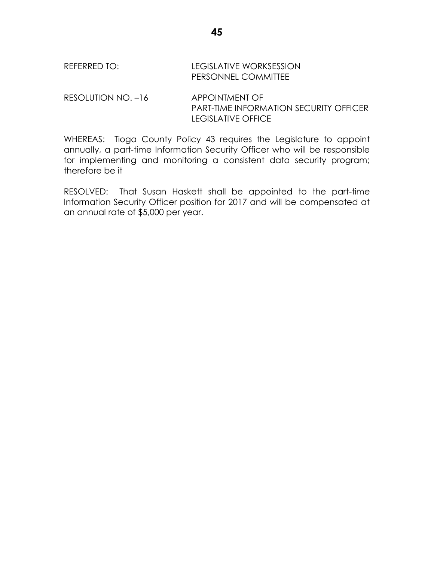RESOLUTION NO. -16 APPOINTMENT OF PART-TIME INFORMATION SECURITY OFFICER LEGISLATIVE OFFICE

WHEREAS: Tioga County Policy 43 requires the Legislature to appoint annually, a part-time Information Security Officer who will be responsible for implementing and monitoring a consistent data security program; therefore be it

RESOLVED: That Susan Haskett shall be appointed to the part-time Information Security Officer position for 2017 and will be compensated at an annual rate of \$5,000 per year.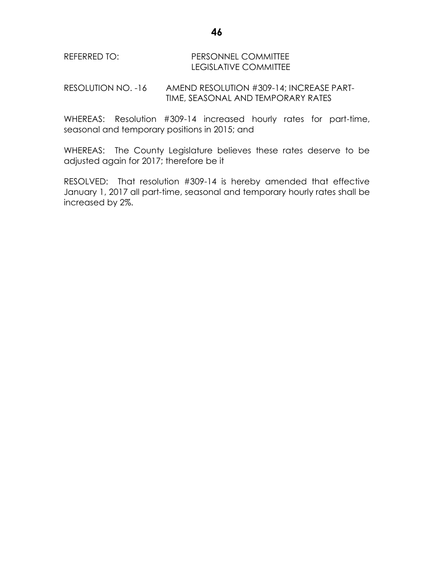### REFERRED TO: PERSONNEL COMMITTEE LEGISLATIVE COMMITTEE

RESOLUTION NO. -16 AMEND RESOLUTION #309-14; INCREASE PART-TIME, SEASONAL AND TEMPORARY RATES

WHEREAS: Resolution #309-14 increased hourly rates for part-time, seasonal and temporary positions in 2015; and

WHEREAS: The County Legislature believes these rates deserve to be adjusted again for 2017; therefore be it

RESOLVED: That resolution #309-14 is hereby amended that effective January 1, 2017 all part-time, seasonal and temporary hourly rates shall be increased by 2%.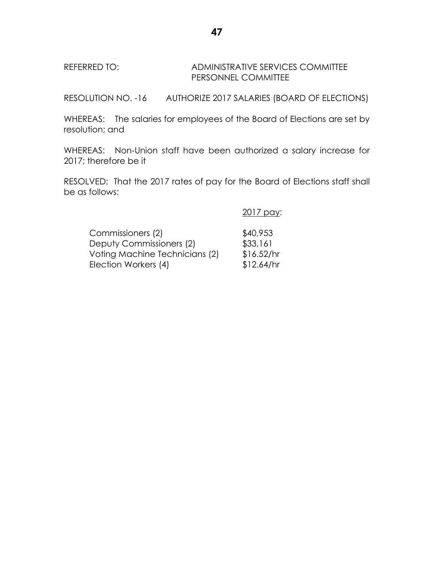## REFERRED TO: ADMINISTRATIVE SERVICES COMMITTEE PERSONNEL COMMITTEE

RESOLUTION NO. -16 AUTHORIZE 2017 SALARIES (BOARD OF ELECTIONS)

WHEREAS: The salaries for employees of the Board of Elections are set by resolution; and

WHEREAS: Non-Union staff have been authorized a salary increase for 2017; therefore be it

RESOLVED: That the 2017 rates of pay for the Board of Elections staff shall be as follows:

2017 pay:

| Commissioners (2)              | \$40,953   |
|--------------------------------|------------|
| Deputy Commissioners (2)       | \$33,161   |
| Voting Machine Technicians (2) | \$16.52/hr |
| Election Workers (4)           | \$12.64/hr |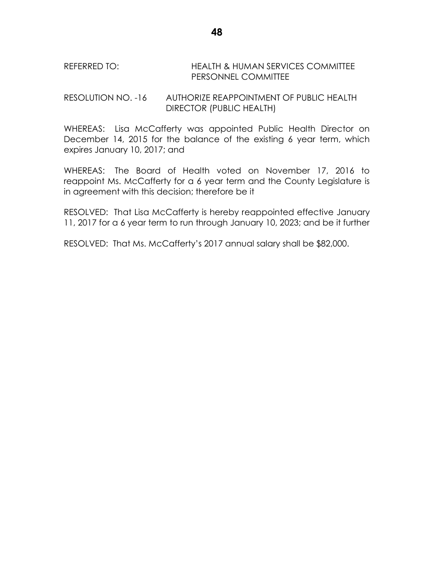REFERRED TO: HEALTH & HUMAN SERVICES COMMITTEE PERSONNEL COMMITTEE

RESOLUTION NO. -16 AUTHORIZE REAPPOINTMENT OF PUBLIC HEALTH DIRECTOR (PUBLIC HEALTH)

WHEREAS: Lisa McCafferty was appointed Public Health Director on December 14, 2015 for the balance of the existing 6 year term, which expires January 10, 2017; and

WHEREAS: The Board of Health voted on November 17, 2016 to reappoint Ms. McCafferty for a 6 year term and the County Legislature is in agreement with this decision; therefore be it

RESOLVED: That Lisa McCafferty is hereby reappointed effective January 11, 2017 for a 6 year term to run through January 10, 2023; and be it further

RESOLVED: That Ms. McCafferty's 2017 annual salary shall be \$82,000.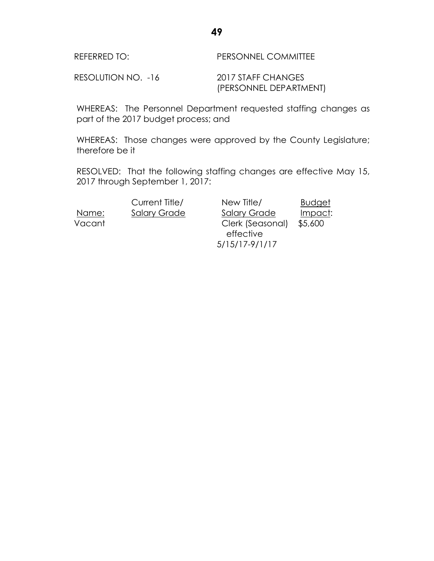| REFERRED TO:       | <b>PERSONNEL COMMITTEE</b> |
|--------------------|----------------------------|
| RESOLUTION NO. -16 | 2017 STAFF CHANGES         |

WHEREAS: The Personnel Department requested staffing changes as part of the 2017 budget process; and

WHEREAS: Those changes were approved by the County Legislature; therefore be it

RESOLVED: That the following staffing changes are effective May 15, 2017 through September 1, 2017:

 Current Title/ New Title/ Budget Name: Salary Grade Salary Grade Impact: Vacant Clerk (Seasonal) \$5,600 effective 5/15/17-9/1/17

(PERSONNEL DEPARTMENT)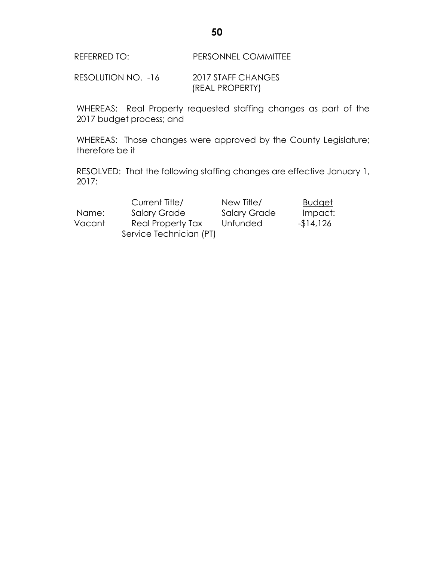REFERRED TO: PERSONNEL COMMITTEE

RESOLUTION NO. -16 2017 STAFF CHANGES (REAL PROPERTY)

WHEREAS: Real Property requested staffing changes as part of the 2017 budget process; and

WHEREAS: Those changes were approved by the County Legislature; therefore be it

RESOLVED: That the following staffing changes are effective January 1, 2017:

|        | Current Title/          | New Title/          | <b>Budget</b> |
|--------|-------------------------|---------------------|---------------|
| Name:  | <b>Salary Grade</b>     | <b>Salary Grade</b> | Impact:       |
| Vacant | Real Property Tax       | Unfunded            | $-14,126$     |
|        | Service Technician (PT) |                     |               |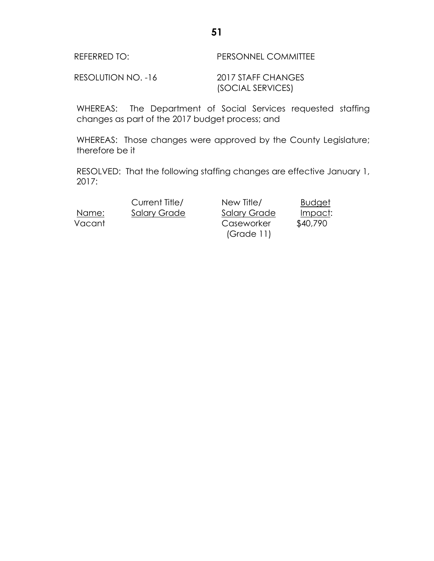| <b>REFERRED TO:</b> | <b>PERSONNEL COMMITTEE</b> |
|---------------------|----------------------------|
|                     |                            |

RESOLUTION NO. -16 2017 STAFF CHANGES (SOCIAL SERVICES)

WHEREAS: The Department of Social Services requested staffing changes as part of the 2017 budget process; and

WHEREAS: Those changes were approved by the County Legislature; therefore be it

RESOLVED: That the following staffing changes are effective January 1, 2017:

Current Title/ New Title/ Budget Name: Salary Grade Salary Grade Impact: Vacant Caseworker \$40,790 (Grade 11)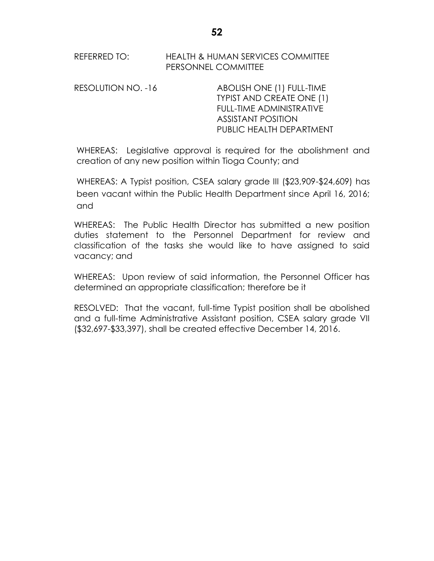#### REFERRED TO: HEALTH & HUMAN SERVICES COMMITTEE PERSONNEL COMMITTEE

RESOLUTION NO. -16 ABOLISH ONE (1) FULL-TIME TYPIST AND CREATE ONE (1) FULL-TIME ADMINISTRATIVE ASSISTANT POSITION PUBLIC HEALTH DEPARTMENT

WHEREAS: Legislative approval is required for the abolishment and creation of any new position within Tioga County; and

WHEREAS: A Typist position, CSEA salary grade III (\$23,909-\$24,609) has been vacant within the Public Health Department since April 16, 2016; and

WHEREAS: The Public Health Director has submitted a new position duties statement to the Personnel Department for review and classification of the tasks she would like to have assigned to said vacancy; and

WHEREAS: Upon review of said information, the Personnel Officer has determined an appropriate classification; therefore be it

RESOLVED: That the vacant, full-time Typist position shall be abolished and a full-time Administrative Assistant position, CSEA salary grade VII (\$32,697-\$33,397), shall be created effective December 14, 2016.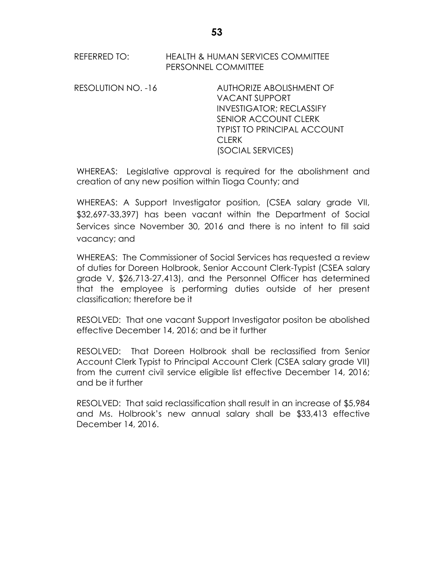REFERRED TO: HEALTH & HUMAN SERVICES COMMITTEE PERSONNEL COMMITTEE

RESOLUTION NO. -16 AUTHORIZE ABOLISHMENT OF VACANT SUPPORT INVESTIGATOR; RECLASSIFY SENIOR ACCOUNT CLERK TYPIST TO PRINCIPAL ACCOUNT **CLERK** (SOCIAL SERVICES)

WHEREAS: Legislative approval is required for the abolishment and creation of any new position within Tioga County; and

WHEREAS: A Support Investigator position, (CSEA salary grade VII, \$32,697-33,397) has been vacant within the Department of Social Services since November 30, 2016 and there is no intent to fill said vacancy; and

WHEREAS: The Commissioner of Social Services has requested a review of duties for Doreen Holbrook, Senior Account Clerk-Typist (CSEA salary grade V, \$26,713-27,413), and the Personnel Officer has determined that the employee is performing duties outside of her present classification; therefore be it

RESOLVED: That one vacant Support Investigator positon be abolished effective December 14, 2016; and be it further

RESOLVED: That Doreen Holbrook shall be reclassified from Senior Account Clerk Typist to Principal Account Clerk (CSEA salary grade VII) from the current civil service eligible list effective December 14, 2016; and be it further

RESOLVED: That said reclassification shall result in an increase of \$5,984 and Ms. Holbrook's new annual salary shall be \$33,413 effective December 14, 2016.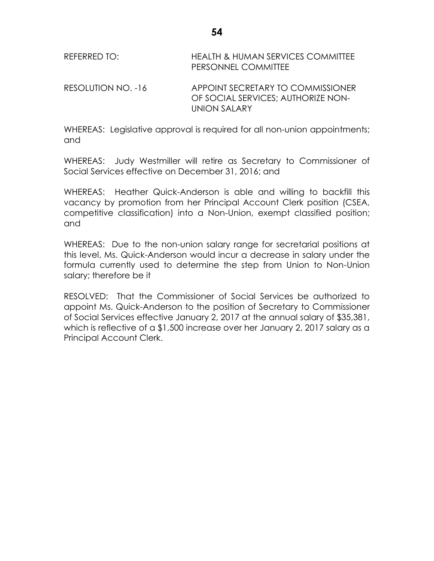| REFERRED TO:       | HEALTH & HUMAN SERVICES COMMITTEE<br>PERSONNEL COMMITTEE                                 |
|--------------------|------------------------------------------------------------------------------------------|
| RESOLUTION NO. -16 | APPOINT SECRETARY TO COMMISSIONER<br>OF SOCIAL SERVICES: AUTHORIZE NON-<br>LINION SALARY |

WHEREAS: Legislative approval is required for all non-union appointments; and

WHEREAS: Judy Westmiller will retire as Secretary to Commissioner of Social Services effective on December 31, 2016; and

WHEREAS:Heather Quick-Anderson is able and willing to backfill this vacancy by promotion from her Principal Account Clerk position (CSEA, competitive classification) into a Non-Union, exempt classified position; and

WHEREAS: Due to the non-union salary range for secretarial positions at this level, Ms. Quick-Anderson would incur a decrease in salary under the formula currently used to determine the step from Union to Non-Union salary; therefore be it

RESOLVED: That the Commissioner of Social Services be authorized to appoint Ms. Quick-Anderson to the position of Secretary to Commissioner of Social Services effective January 2, 2017 at the annual salary of \$35,381, which is reflective of a \$1,500 increase over her January 2, 2017 salary as a Principal Account Clerk.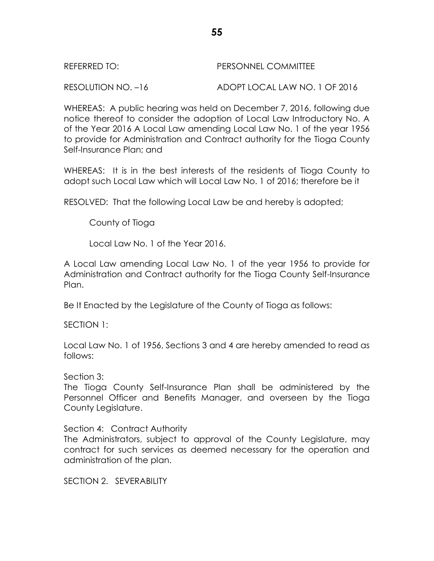| REFERRED TO: | PERSONNEL COMMITTEE |
|--------------|---------------------|
|              |                     |

RESOLUTION NO. –16 ADOPT LOCAL LAW NO. 1 OF 2016

WHEREAS: A public hearing was held on December 7, 2016, following due notice thereof to consider the adoption of Local Law Introductory No. A of the Year 2016 A Local Law amending Local Law No. 1 of the year 1956 to provide for Administration and Contract authority for the Tioga County Self-Insurance Plan; and

WHEREAS: It is in the best interests of the residents of Tioga County to adopt such Local Law which will Local Law No. 1 of 2016; therefore be it

RESOLVED: That the following Local Law be and hereby is adopted;

County of Tioga

Local Law No. 1 of the Year 2016.

A Local Law amending Local Law No. 1 of the year 1956 to provide for Administration and Contract authority for the Tioga County Self-Insurance Plan.

Be It Enacted by the Legislature of the County of Tioga as follows:

SECTION 1:

Local Law No. 1 of 1956, Sections 3 and 4 are hereby amended to read as follows:

Section 3:

The Tioga County Self-Insurance Plan shall be administered by the Personnel Officer and Benefits Manager, and overseen by the Tioga County Legislature.

Section 4: Contract Authority

The Administrators, subject to approval of the County Legislature, may contract for such services as deemed necessary for the operation and administration of the plan.

SECTION 2. SEVERABILITY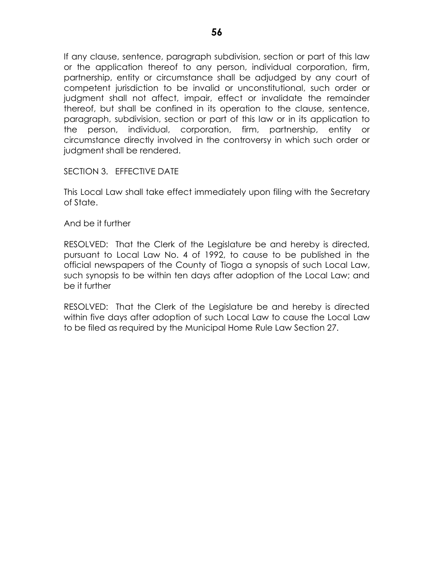If any clause, sentence, paragraph subdivision, section or part of this law or the application thereof to any person, individual corporation, firm, partnership, entity or circumstance shall be adjudged by any court of competent jurisdiction to be invalid or unconstitutional, such order or judgment shall not affect, impair, effect or invalidate the remainder thereof, but shall be confined in its operation to the clause, sentence, paragraph, subdivision, section or part of this law or in its application to the person, individual, corporation, firm, partnership, entity or circumstance directly involved in the controversy in which such order or judgment shall be rendered.

SECTION 3. EFFECTIVE DATE

This Local Law shall take effect immediately upon filing with the Secretary of State.

And be it further

RESOLVED: That the Clerk of the Legislature be and hereby is directed, pursuant to Local Law No. 4 of 1992, to cause to be published in the official newspapers of the County of Tioga a synopsis of such Local Law, such synopsis to be within ten days after adoption of the Local Law; and be it further

RESOLVED: That the Clerk of the Legislature be and hereby is directed within five days after adoption of such Local Law to cause the Local Law to be filed as required by the Municipal Home Rule Law Section 27.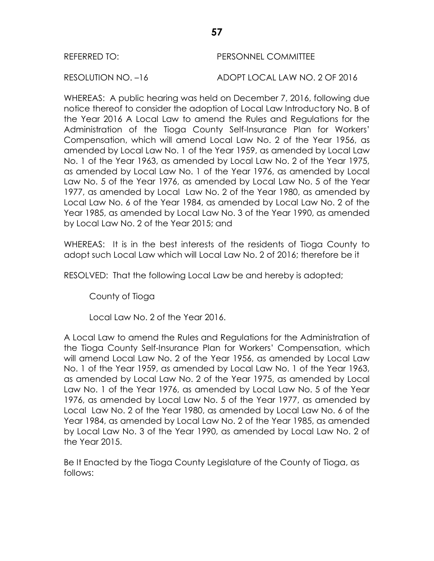#### REFERRED TO: PERSONNEL COMMITTEE

RESOLUTION NO. –16 ADOPT LOCAL LAW NO. 2 OF 2016

WHEREAS: A public hearing was held on December 7, 2016, following due notice thereof to consider the adoption of Local Law Introductory No. B of the Year 2016 A Local Law to amend the Rules and Regulations for the Administration of the Tioga County Self-Insurance Plan for Workers' Compensation, which will amend Local Law No. 2 of the Year 1956, as amended by Local Law No. 1 of the Year 1959, as amended by Local Law No. 1 of the Year 1963, as amended by Local Law No. 2 of the Year 1975, as amended by Local Law No. 1 of the Year 1976, as amended by Local Law No. 5 of the Year 1976, as amended by Local Law No. 5 of the Year 1977, as amended by Local Law No. 2 of the Year 1980, as amended by Local Law No. 6 of the Year 1984, as amended by Local Law No. 2 of the Year 1985, as amended by Local Law No. 3 of the Year 1990, as amended by Local Law No. 2 of the Year 2015; and

WHEREAS: It is in the best interests of the residents of Tioga County to adopt such Local Law which will Local Law No. 2 of 2016; therefore be it

RESOLVED: That the following Local Law be and hereby is adopted;

County of Tioga

Local Law No. 2 of the Year 2016.

A Local Law to amend the Rules and Regulations for the Administration of the Tioga County Self-Insurance Plan for Workers' Compensation, which will amend Local Law No. 2 of the Year 1956, as amended by Local Law No. 1 of the Year 1959, as amended by Local Law No. 1 of the Year 1963, as amended by Local Law No. 2 of the Year 1975, as amended by Local Law No. 1 of the Year 1976, as amended by Local Law No. 5 of the Year 1976, as amended by Local Law No. 5 of the Year 1977, as amended by Local Law No. 2 of the Year 1980, as amended by Local Law No. 6 of the Year 1984, as amended by Local Law No. 2 of the Year 1985, as amended by Local Law No. 3 of the Year 1990, as amended by Local Law No. 2 of the Year 2015.

Be It Enacted by the Tioga County Legislature of the County of Tioga, as follows: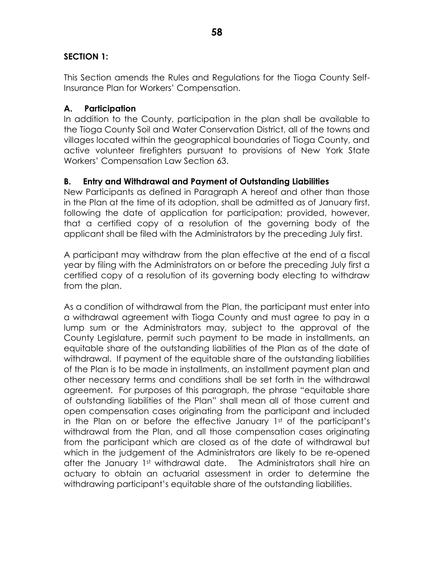## **SECTION 1:**

This Section amends the Rules and Regulations for the Tioga County Self-Insurance Plan for Workers' Compensation.

## **A. Participation**

In addition to the County, participation in the plan shall be available to the Tioga County Soil and Water Conservation District, all of the towns and villages located within the geographical boundaries of Tioga County, and active volunteer firefighters pursuant to provisions of New York State Workers' Compensation Law Section 63.

## **B. Entry and Withdrawal and Payment of Outstanding Liabilities**

New Participants as defined in Paragraph A hereof and other than those in the Plan at the time of its adoption, shall be admitted as of January first, following the date of application for participation; provided, however, that a certified copy of a resolution of the governing body of the applicant shall be filed with the Administrators by the preceding July first.

A participant may withdraw from the plan effective at the end of a fiscal year by filing with the Administrators on or before the preceding July first a certified copy of a resolution of its governing body electing to withdraw from the plan.

As a condition of withdrawal from the Plan, the participant must enter into a withdrawal agreement with Tioga County and must agree to pay in a lump sum or the Administrators may, subject to the approval of the County Legislature, permit such payment to be made in installments, an equitable share of the outstanding liabilities of the Plan as of the date of withdrawal. If payment of the equitable share of the outstanding liabilities of the Plan is to be made in installments, an installment payment plan and other necessary terms and conditions shall be set forth in the withdrawal agreement. For purposes of this paragraph, the phrase "equitable share of outstanding liabilities of the Plan" shall mean all of those current and open compensation cases originating from the participant and included in the Plan on or before the effective January 1st of the participant's withdrawal from the Plan, and all those compensation cases originating from the participant which are closed as of the date of withdrawal but which in the judgement of the Administrators are likely to be re-opened after the January 1st withdrawal date. The Administrators shall hire an actuary to obtain an actuarial assessment in order to determine the withdrawing participant's equitable share of the outstanding liabilities.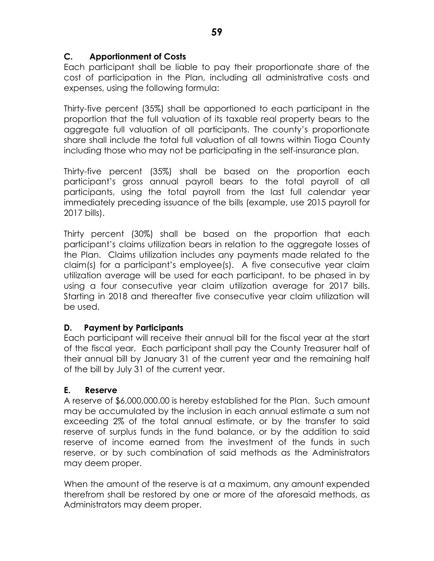# **C. Apportionment of Costs**

Each participant shall be liable to pay their proportionate share of the cost of participation in the Plan, including all administrative costs and expenses, using the following formula:

Thirty-five percent (35%) shall be apportioned to each participant in the proportion that the full valuation of its taxable real property bears to the aggregate full valuation of all participants. The county's proportionate share shall include the total full valuation of all towns within Tioga County including those who may not be participating in the self-insurance plan.

Thirty-five percent (35%) shall be based on the proportion each participant's gross annual payroll bears to the total payroll of all participants, using the total payroll from the last full calendar year immediately preceding issuance of the bills (example, use 2015 payroll for 2017 bills).

Thirty percent (30%) shall be based on the proportion that each participant's claims utilization bears in relation to the aggregate losses of the Plan. Claims utilization includes any payments made related to the claim(s) for a participant's employee(s). A five consecutive year claim utilization average will be used for each participant, to be phased in by using a four consecutive year claim utilization average for 2017 bills. Starting in 2018 and thereafter five consecutive year claim utilization will be used.

## **D. Payment by Participants**

Each participant will receive their annual bill for the fiscal year at the start of the fiscal year. Each participant shall pay the County Treasurer half of their annual bill by January 31 of the current year and the remaining half of the bill by July 31 of the current year.

## **E. Reserve**

A reserve of \$6,000,000.00 is hereby established for the Plan. Such amount may be accumulated by the inclusion in each annual estimate a sum not exceeding 2% of the total annual estimate, or by the transfer to said reserve of surplus funds in the fund balance, or by the addition to said reserve of income earned from the investment of the funds in such reserve, or by such combination of said methods as the Administrators may deem proper.

When the amount of the reserve is at a maximum, any amount expended therefrom shall be restored by one or more of the aforesaid methods, as Administrators may deem proper.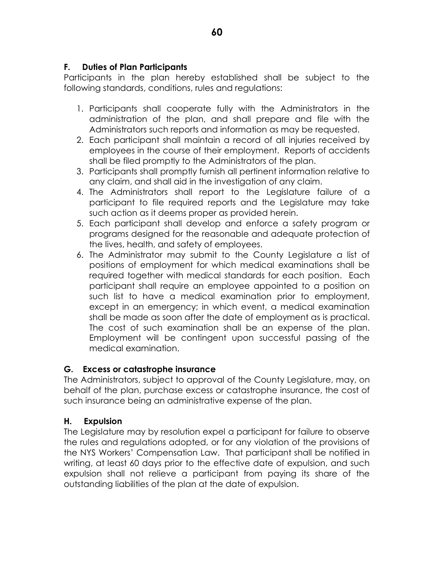# **F. Duties of Plan Participants**

Participants in the plan hereby established shall be subject to the following standards, conditions, rules and regulations:

- 1. Participants shall cooperate fully with the Administrators in the administration of the plan, and shall prepare and file with the Administrators such reports and information as may be requested.
- 2. Each participant shall maintain a record of all injuries received by employees in the course of their employment. Reports of accidents shall be filed promptly to the Administrators of the plan.
- 3. Participants shall promptly furnish all pertinent information relative to any claim, and shall aid in the investigation of any claim.
- 4. The Administrators shall report to the Legislature failure of a participant to file required reports and the Legislature may take such action as it deems proper as provided herein.
- 5. Each participant shall develop and enforce a safety program or programs designed for the reasonable and adequate protection of the lives, health, and safety of employees.
- 6. The Administrator may submit to the County Legislature a list of positions of employment for which medical examinations shall be required together with medical standards for each position. Each participant shall require an employee appointed to a position on such list to have a medical examination prior to employment, except in an emergency; in which event, a medical examination shall be made as soon after the date of employment as is practical. The cost of such examination shall be an expense of the plan. Employment will be contingent upon successful passing of the medical examination.

# **G. Excess or catastrophe insurance**

The Administrators, subject to approval of the County Legislature, may, on behalf of the plan, purchase excess or catastrophe insurance, the cost of such insurance being an administrative expense of the plan.

## **H. Expulsion**

The Legislature may by resolution expel a participant for failure to observe the rules and regulations adopted, or for any violation of the provisions of the NYS Workers' Compensation Law. That participant shall be notified in writing, at least 60 days prior to the effective date of expulsion, and such expulsion shall not relieve a participant from paying its share of the outstanding liabilities of the plan at the date of expulsion.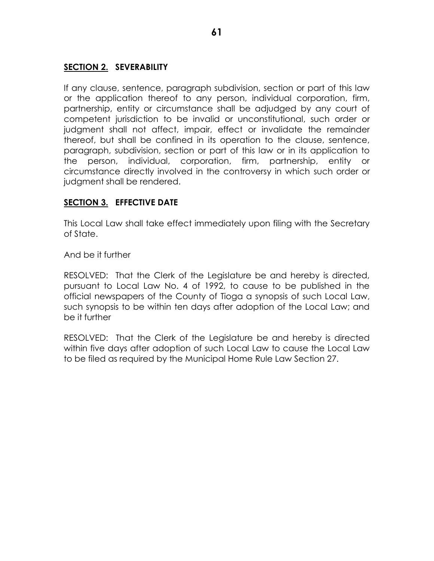# **SECTION 2. SEVERABILITY**

If any clause, sentence, paragraph subdivision, section or part of this law or the application thereof to any person, individual corporation, firm, partnership, entity or circumstance shall be adjudged by any court of competent jurisdiction to be invalid or unconstitutional, such order or judgment shall not affect, impair, effect or invalidate the remainder thereof, but shall be confined in its operation to the clause, sentence, paragraph, subdivision, section or part of this law or in its application to the person, individual, corporation, firm, partnership, entity or circumstance directly involved in the controversy in which such order or judgment shall be rendered.

# **SECTION 3. EFFECTIVE DATE**

This Local Law shall take effect immediately upon filing with the Secretary of State.

And be it further

RESOLVED: That the Clerk of the Legislature be and hereby is directed, pursuant to Local Law No. 4 of 1992, to cause to be published in the official newspapers of the County of Tioga a synopsis of such Local Law, such synopsis to be within ten days after adoption of the Local Law; and be it further

RESOLVED: That the Clerk of the Legislature be and hereby is directed within five days after adoption of such Local Law to cause the Local Law to be filed as required by the Municipal Home Rule Law Section 27.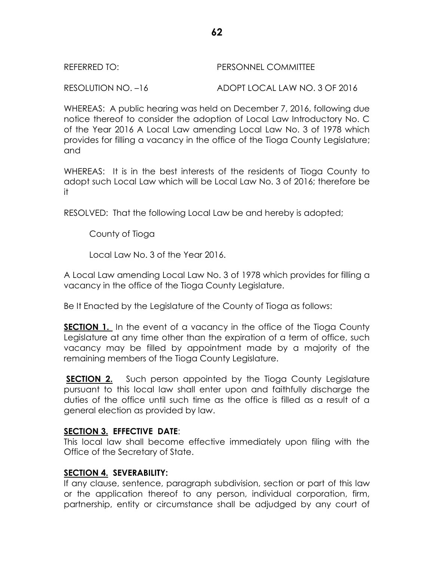RESOLUTION NO. –16 ADOPT LOCAL LAW NO. 3 OF 2016

WHEREAS: A public hearing was held on December 7, 2016, following due notice thereof to consider the adoption of Local Law Introductory No. C of the Year 2016 A Local Law amending Local Law No. 3 of 1978 which provides for filling a vacancy in the office of the Tioga County Legislature; and

WHEREAS: It is in the best interests of the residents of Tioga County to adopt such Local Law which will be Local Law No. 3 of 2016; therefore be it

RESOLVED: That the following Local Law be and hereby is adopted;

County of Tioga

Local Law No. 3 of the Year 2016.

A Local Law amending Local Law No. 3 of 1978 which provides for filling a vacancy in the office of the Tioga County Legislature.

Be It Enacted by the Legislature of the County of Tioga as follows:

**SECTION 1.** In the event of a vacancy in the office of the Tioga County Legislature at any time other than the expiration of a term of office, such vacancy may be filled by appointment made by a majority of the remaining members of the Tioga County Legislature.

**SECTION 2.** Such person appointed by the Tioga County Legislature pursuant to this local law shall enter upon and faithfully discharge the duties of the office until such time as the office is filled as a result of a general election as provided by law.

## **SECTION 3. EFFECTIVE DATE**:

This local law shall become effective immediately upon filing with the Office of the Secretary of State.

## **SECTION 4. SEVERABILITY:**

If any clause, sentence, paragraph subdivision, section or part of this law or the application thereof to any person, individual corporation, firm, partnership, entity or circumstance shall be adjudged by any court of